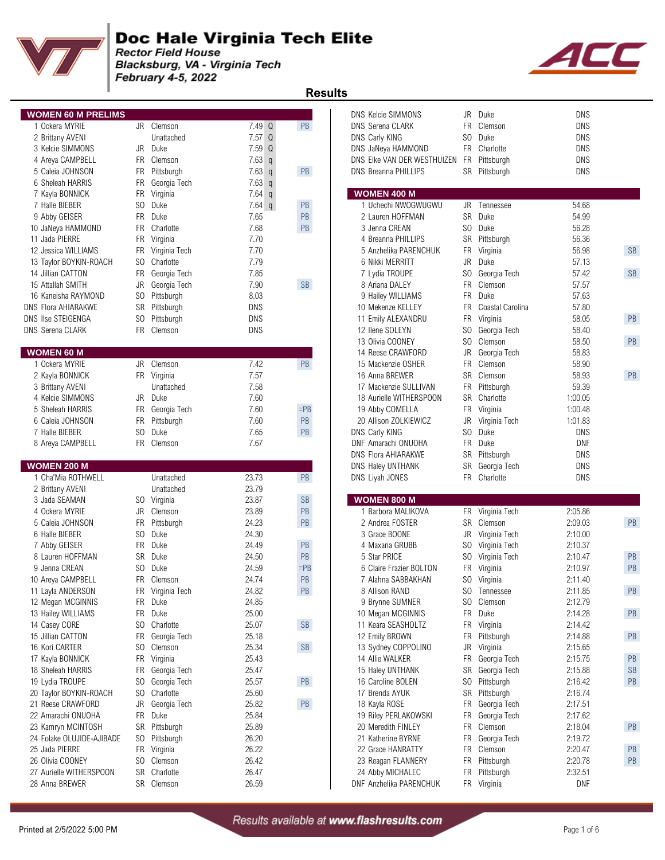

Blacksburg, VA - Virginia Tech February 4-5, 2022



 **Results** 

| <b>WOMEN 60 M PRELIMS</b> |                |                  |                   |           | <b>DNS Kelcie SIMMONS</b>   |           | JR Duke          | <b>DNS</b> |           |
|---------------------------|----------------|------------------|-------------------|-----------|-----------------------------|-----------|------------------|------------|-----------|
| 1 Ockera MYRIE            |                | JR Clemson       | $7.49$ Q          | PB        | <b>DNS Serena CLARK</b>     | <b>FR</b> | Clemson          | <b>DNS</b> |           |
| 2 Brittany AVENI          |                | Unattached       | $7.57$ Q          |           | DNS Carly KING              | SO        | Duke             | <b>DNS</b> |           |
| 3 Kelcie SIMMONS          |                | JR Duke          | 7.59 Q            |           | DNS JaNeya HAMMOND          |           | FR Charlotte     | DNS        |           |
| 4 Areya CAMPBELL          | FR.            | Clemson          | 7.63q             |           | DNS Elke VAN DER WESTHUIZEN |           | FR Pittsburgh    | DNS        |           |
| 5 Caleia JOHNSON          | FR             | Pittsburgh       | 7.63 <sub>q</sub> | PB        | <b>DNS Breanna PHILLIPS</b> |           | SR Pittsburgh    | DNS        |           |
| 6 Sheleah HARRIS          | <b>FR</b>      | Georgia Tech     | $7.63$ q          |           |                             |           |                  |            |           |
| 7 Kayla BONNICK           | FR             | Virginia         | $7.64$ q          |           | <b>WOMEN 400 M</b>          |           |                  |            |           |
| 7 Halle BIEBER            | S <sub>0</sub> | Duke             | $7.64$ q          | PB        | 1 Uchechi NWOGWUGWU         |           | JR Tennessee     | 54.68      |           |
| 9 Abby GEISER             | <b>FR</b>      | Duke             | 7.65              | PB        | 2 Lauren HOFFMAN            |           | SR Duke          | 54.99      |           |
| 10 JaNeya HAMMOND         | <b>FR</b>      | Charlotte        | 7.68              | PB        | 3 Jenna CREAN               | SO        | Duke             | 56.28      |           |
| 11 Jada PIERRE            | <b>FR</b>      | Virginia         | 7.70              |           | 4 Breanna PHILLIPS          |           | SR Pittsburgh    | 56.36      |           |
| 12 Jessica WILLIAMS       | FR             | Virginia Tech    | 7.70              |           | 5 Anzhelika PARENCHUK       | FR        | Virginia         | 56.98      | SB        |
| 13 Taylor BOYKIN-ROACH    | S <sub>0</sub> | Charlotte        | 7.79              |           | 6 Nikki MERRITT             | JR        | Duke             | 57.13      |           |
| 14 Jillian CATTON         | FR             | Georgia Tech     | 7.85              |           | 7 Lydia TROUPE              | SO        | Georgia Tech     | 57.42      | SB        |
| 15 Attallah SMITH         | JR             | Georgia Tech     | 7.90              | <b>SB</b> | 8 Ariana DALEY              |           | FR Clemson       | 57.57      |           |
| 16 Kaneisha RAYMOND       | SO.            | Pittsburgh       | 8.03              |           | 9 Hailey WILLIAMS           |           | FR Duke          | 57.63      |           |
| DNS Flora AHIARAKWE       | <b>SR</b>      | Pittsburgh       | <b>DNS</b>        |           | 10 Mekenze KELLEY           | <b>FR</b> | Coastal Carolina | 57.80      |           |
| <b>DNS Ilse STEIGENGA</b> | S <sub>0</sub> | Pittsburgh       | <b>DNS</b>        |           | 11 Emily ALEXANDRU          | <b>FR</b> | Virginia         | 58.05      | PB        |
| <b>DNS Serena CLARK</b>   |                | FR Clemson       | DNS               |           | 12 Ilene SOLEYN             |           | SO Georgia Tech  | 58.40      |           |
|                           |                |                  |                   |           | 13 Olivia COONEY            |           | SO Clemson       | 58.50      | PB        |
| <b>WOMEN 60 M</b>         |                |                  |                   |           | 14 Reese CRAWFORD           | JR        | Georgia Tech     | 58.83      |           |
| 1 Ockera MYRIE            |                | JR Clemson       | 7.42              | PB        | 15 Mackenzie OSHER          | <b>FR</b> | Clemson          | 58.90      |           |
| 2 Kayla BONNICK           |                | FR Virginia      | 7.57              |           | 16 Anna BREWER              |           | SR Clemson       | 58.93      | PB        |
| 3 Brittany AVENI          |                | Unattached       | 7.58              |           | 17 Mackenzie SULLIVAN       | <b>FR</b> | Pittsburgh       | 59.39      |           |
| 4 Kelcie SIMMONS          |                | JR Duke          | 7.60              |           | 18 Aurielle WITHERSPOON     | <b>SR</b> | Charlotte        | 1:00.05    |           |
| 5 Sheleah HARRIS          | FR.            | Georgia Tech     | 7.60              | $=$ PB    | 19 Abby COMELLA             | FR        | Virginia         | 1:00.48    |           |
| 6 Caleia JOHNSON          | FR             | Pittsburgh       | 7.60              | PB        | 20 Allison ZOLKIEWICZ       |           | JR Virginia Tech | 1:01.83    |           |
| 7 Halle BIEBER            | S <sub>0</sub> | Duke             | 7.65              | PB        | DNS Carly KING              |           | SO Duke          | <b>DNS</b> |           |
| 8 Areya CAMPBELL          |                | FR Clemson       | 7.67              |           | DNF Amarachi ONUOHA         | <b>FR</b> | Duke             | <b>DNF</b> |           |
|                           |                |                  |                   |           | <b>DNS Flora AHIARAKWE</b>  | SR        | Pittsburgh       | <b>DNS</b> |           |
| <b>WOMEN 200 M</b>        |                |                  |                   |           | DNS Haley UNTHANK           | SR        | Georgia Tech     | <b>DNS</b> |           |
| 1 Cha'Mia ROTHWELL        |                | Unattached       | 23.73             | PB        | DNS Liyah JONES             |           | FR Charlotte     | <b>DNS</b> |           |
| 2 Brittany AVENI          |                | Unattached       | 23.79             |           |                             |           |                  |            |           |
| 3 Jada SEAMAN             |                | SO Virginia      | 23.87             | <b>SB</b> | <b>WOMEN 800 M</b>          |           |                  |            |           |
| 4 Ockera MYRIE            | <b>JR</b>      | Clemson          | 23.89             | PB        | 1 Barbora MALIKOVA          |           | FR Virginia Tech | 2:05.86    |           |
| 5 Caleia JOHNSON          | <b>FR</b>      | Pittsburgh       | 24.23             | PB        | 2 Andrea FOSTER             |           | SR Clemson       | 2:09.03    | PB        |
| 6 Halle BIEBER            | S <sub>0</sub> | Duke             | 24.30             |           | 3 Grace BOONE               | JR        | Virginia Tech    | 2:10.00    |           |
| 7 Abby GEISER             | <b>FR</b>      | Duke             | 24.49             | PB        | 4 Maxana GRUBB              |           | SO Virginia Tech | 2:10.37    |           |
| 8 Lauren HOFFMAN          | <b>SR</b>      | Duke             | 24.50             | PB        | 5 Star PRICE                |           | SO Virginia Tech | 2:10.47    | PB        |
| 9 Jenna CREAN             | S <sub>0</sub> | Duke             | 24.59             | $=$ PB    | 6 Claire Frazier BOLTON     | FR        | Virginia         | 2:10.97    | PB        |
| 10 Areya CAMPBELL         | <b>FR</b>      | Clemson          | 24.74             | PB        | 7 Alahna SABBAKHAN          |           | SO Virginia      | 2:11.40    |           |
| 11 Layla ANDERSON         |                | FR Virginia Tech | 24.82             | PB        | 8 Allison RAND              | SO.       | Tennessee        | 2:11.85    | PB        |
| 12 Megan MCGINNIS         | FR             | Duke             | 24.85             |           | 9 Brynne SUMNER             |           | SO Clemson       | 2:12.79    |           |
| 13 Hailey WILLIAMS        | FR             | Duke             | 25.00             |           | 10 Megan MCGINNIS           |           | FR Duke          | 2:14.28    | PB        |
| 14 Casey CORE             | S <sub>0</sub> | Charlotte        | 25.07             | SB        | 11 Keara SEASHOLTZ          |           | FR Virginia      | 2:14.42    |           |
| 15 Jillian CATTON         | FR             | Georgia Tech     | 25.18             |           | 12 Emily BROWN              |           | FR Pittsburgh    | 2:14.88    | PB        |
| 16 Kori CARTER            | S <sub>0</sub> | Clemson          | 25.34             | <b>SB</b> | 13 Sydney COPPOLINO         |           | JR Virginia      | 2:15.65    |           |
| 17 Kayla BONNICK          |                | FR Virginia      | 25.43             |           | 14 Allie WALKER             |           | FR Georgia Tech  | 2:15.75    | PB        |
| 18 Sheleah HARRIS         | <b>FR</b>      | Georgia Tech     | 25.47             |           | 15 Haley UNTHANK            |           | SR Georgia Tech  | 2:15.88    | <b>SB</b> |
| 19 Lydia TROUPE           | S <sub>0</sub> | Georgia Tech     | 25.57             | PB        | 16 Caroline BOLEN           |           | SO Pittsburgh    | 2:16.42    | PB        |
| 20 Taylor BOYKIN-ROACH    | S <sub>0</sub> | Charlotte        | 25.60             |           | 17 Brenda AYUK              |           | SR Pittsburgh    | 2:16.74    |           |
| 21 Reese CRAWFORD         | JR             | Georgia Tech     | 25.82             | PB        | 18 Kayla ROSE               |           | FR Georgia Tech  | 2:17.51    |           |
| 22 Amarachi ONUOHA        |                | FR Duke          | 25.84             |           | 19 Riley PERLAKOWSKI        |           | FR Georgia Tech  | 2:17.62    |           |
| 23 Kamryn MCINTOSH        |                | SR Pittsburgh    | 25.89             |           | 20 Meredith FINLEY          |           | FR Clemson       | 2:18.04    | PB        |
| 24 Folake OLUJIDE-AJIBADE | S <sub>0</sub> | Pittsburgh       | 26.20             |           | 21 Katherine BYRNE          |           | FR Georgia Tech  | 2:19.72    |           |
| 25 Jada PIERRE            |                | FR Virginia      | 26.22             |           | 22 Grace HANRATTY           |           | FR Clemson       | 2:20.47    | PB        |
| 26 Olivia COONEY          | S <sub>0</sub> | Clemson          | 26.42             |           | 23 Reagan FLANNERY          |           | FR Pittsburgh    | 2:20.78    | PB        |
| 27 Aurielle WITHERSPOON   | <b>SR</b>      | Charlotte        | 26.47             |           | 24 Abby MICHALEC            |           | FR Pittsburgh    | 2:32.51    |           |
| 28 Anna BREWER            |                | SR Clemson       | 26.59             |           | DNF Anzhelika PARENCHUK     |           | FR Virginia      | <b>DNF</b> |           |

| DNS Kelcie SIMMONS<br>DNS Serena CLARK<br>DNS Carly KING<br>DNS JaNeya HAMMOND<br>DNS Elke VAN DER WESTHUIZEN FR Pittsburgh<br><b>DNS Breanna PHILLIPS</b> | JR<br>FR.<br>SO.<br>SR | Duke<br>Clemson<br>Duke<br>FR Charlotte<br>Pittsburgh | DNS<br>DNS<br>DNS<br>DNS<br>DNS<br>DNS |               |
|------------------------------------------------------------------------------------------------------------------------------------------------------------|------------------------|-------------------------------------------------------|----------------------------------------|---------------|
| <b>WOMEN 400 M</b>                                                                                                                                         |                        |                                                       |                                        |               |
| 1 Uchechi NWOGWUGWU                                                                                                                                        | JR                     | Tennessee                                             | 54.68                                  |               |
| 2 Lauren HOFFMAN                                                                                                                                           | <b>SR</b>              | Duke                                                  | 54.99                                  |               |
| 3 Jenna CREAN                                                                                                                                              |                        | SO Duke                                               | 56.28                                  |               |
| 4 Breanna PHILLIPS                                                                                                                                         |                        | SR Pittsburgh                                         | 56.36                                  |               |
| 5 Anzhelika PARENCHUK                                                                                                                                      | FR                     | Virginia                                              | 56.98                                  | <b>SB</b>     |
| 6 Nikki MERRITT                                                                                                                                            | JR.                    | Duke                                                  | 57.13                                  |               |
| 7 Lydia TROUPE                                                                                                                                             | SO -                   | Georgia Tech                                          | 57.42                                  | <b>SB</b>     |
| 8 Ariana DALEY                                                                                                                                             | FR -                   | Clemson                                               | 57.57                                  |               |
| 9 Hailey WILLIAMS                                                                                                                                          | FR.                    | Duke                                                  | 57.63                                  |               |
| 10 Mekenze KELLEY<br>11 Emily ALEXANDRU                                                                                                                    | FR<br>FR.              | Coastal Carolina                                      | 57.80<br>58.05                         | PB            |
| 12 Ilene SOLEYN                                                                                                                                            | SO -                   | Virginia<br>Georgia Tech                              | 58.40                                  |               |
| 13 Olivia COONEY                                                                                                                                           | SO -                   | Clemson                                               | 58.50                                  | <b>PB</b>     |
| 14 Reese CRAWFORD                                                                                                                                          | JR                     | Georgia Tech                                          | 58.83                                  |               |
| 15 Mackenzie OSHER                                                                                                                                         |                        | FR Clemson                                            | 58.90                                  |               |
| 16 Anna BREWER                                                                                                                                             |                        | SR Clemson                                            | 58.93                                  | <b>PB</b>     |
| 17 Mackenzie SULLIVAN                                                                                                                                      | FR.                    | Pittsburgh                                            | 59.39                                  |               |
| 18 Aurielle WITHERSPOON                                                                                                                                    | SR                     | Charlotte                                             | 1:00.05                                |               |
| 19 Abby COMELLA                                                                                                                                            |                        | FR Virginia                                           | 1:00.48                                |               |
| 20 Allison ZOLKIEWICZ                                                                                                                                      | JR                     | Virginia Tech                                         | 1:01.83                                |               |
| DNS Carly KING                                                                                                                                             | SO.                    | Duke                                                  | DNS                                    |               |
| DNF Amarachi ONUOHA                                                                                                                                        | FR -                   | Duke                                                  | DNF                                    |               |
| DNS Flora AHIARAKWE                                                                                                                                        |                        | SR Pittsburgh                                         | DNS                                    |               |
| DNS Haley UNTHANK                                                                                                                                          | SR                     | Georgia Tech                                          | DNS                                    |               |
| DNS Liyah JONES                                                                                                                                            | FR.                    | Charlotte                                             | DNS                                    |               |
| <b>WOMEN 800 M</b>                                                                                                                                         |                        |                                                       |                                        |               |
| 1 Barbora MALIKOVA                                                                                                                                         | FR                     | Virginia Tech                                         | 2:05.86                                |               |
| 2 Andrea FOSTER                                                                                                                                            |                        | SR Clemson                                            | 2:09.03                                | PB            |
| 3 Grace BOONE                                                                                                                                              | JR                     | Virginia Tech                                         | 2:10.00                                |               |
| 4 Maxana GRUBB                                                                                                                                             |                        | SO Virginia Tech                                      | 2:10.37                                |               |
| 5 Star PRICE                                                                                                                                               |                        | SO Virginia Tech                                      | 2:10.47                                | PB            |
| 6 Claire Frazier BOLTON                                                                                                                                    | FR -                   | Virginia                                              | 2:10.97                                | PB            |
| 7 Alahna SABBAKHAN                                                                                                                                         | SO.                    | Virginia                                              | 2:11.40                                |               |
| 8 Allison RAND                                                                                                                                             |                        | SO Tennessee                                          | 2:11.85                                | $\mathsf{PB}$ |
| 9 Brynne SUMNER                                                                                                                                            | SO                     | Clemson                                               | 2:12.79                                |               |
| 10 Megan MCGINNIS                                                                                                                                          | FR                     | Duke                                                  | 2:14.28                                | <b>PB</b>     |
| 11 Keara SEASHOLTZ                                                                                                                                         | FR                     | Virginia                                              | 2:14.42                                |               |
| 12 Emily BROWN                                                                                                                                             | FR                     | Pittsburgh                                            | 2:14.88                                | PB            |
| 13 Sydney COPPOLINO                                                                                                                                        | JR                     | Virginia                                              | 2:15.65                                |               |
| 14 Allie WALKER                                                                                                                                            | FR                     | Georgia Tech                                          | 2:15.75                                | PB            |
| 15 Haley UNTHANK                                                                                                                                           | SR                     | Georgia Tech                                          | 2:15.88                                | <b>SB</b>     |
| 16 Caroline BOLEN                                                                                                                                          | SO                     | Pittsburgh                                            | 2:16.42                                | PB            |
| 17 Brenda AYUK                                                                                                                                             | SR                     | Pittsburgh                                            | 2:16.74                                |               |
| 18 Kayla ROSE                                                                                                                                              | FR                     | Georgia Tech                                          | 2:17.51                                |               |
| 19 Riley PERLAKOWSKI                                                                                                                                       | FR                     | Georgia Tech                                          | 2:17.62                                |               |
| 20 Meredith FINLEY                                                                                                                                         | <b>FR</b>              | Clemson                                               | 2:18.04                                | PB            |
| 21 Katherine BYRNE<br>22 Grace HANRATTY                                                                                                                    | FR<br>FR               | Georgia Tech                                          | 2:19.72                                |               |
| 23 Reagan FLANNERY                                                                                                                                         | FR                     | Clemson<br>Pittsburgh                                 | 2:20.47<br>2:20.78                     | PB<br>PB      |
| 24 Abby MICHALEC                                                                                                                                           | FR                     | Pittsburgh                                            | 2:32.51                                |               |
| DNF Anzhelika PARENCHUK                                                                                                                                    | FR                     | Virginia                                              | <b>DNF</b>                             |               |
|                                                                                                                                                            |                        |                                                       |                                        |               |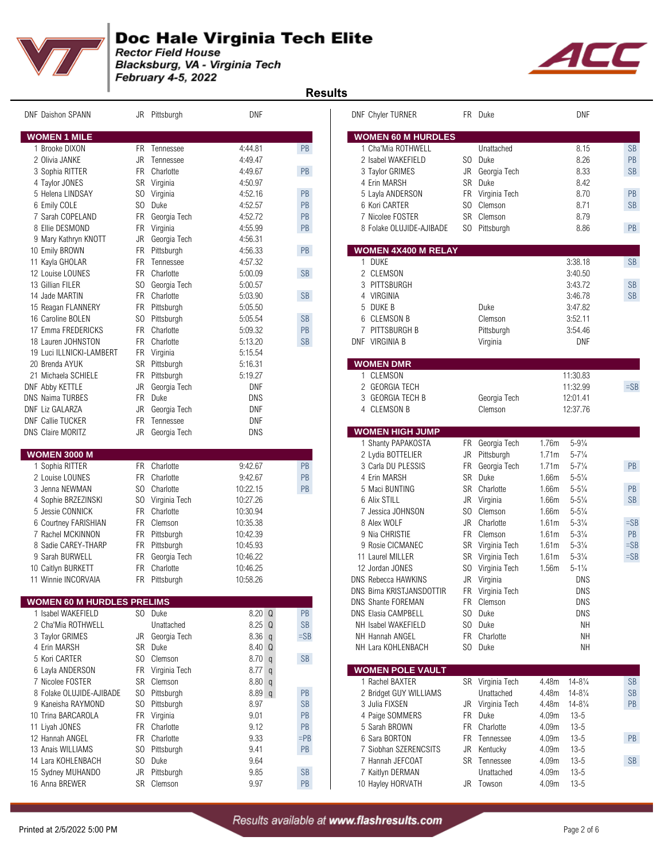

Blacksburg, VA - Virginia Tech February 4-5, 2022



 **Results** 

| <b>DNF Daishon SPANN</b>          |                | JR Pittsburgh    | DNF              |                      |   | DNF Chyler TURNER                       |                | FR Duke                       |                | DNF                                      |           |
|-----------------------------------|----------------|------------------|------------------|----------------------|---|-----------------------------------------|----------------|-------------------------------|----------------|------------------------------------------|-----------|
| <b>WOMEN 1 MILE</b>               |                |                  |                  |                      |   | <b>WOMEN 60 M HURDLES</b>               |                |                               |                |                                          |           |
| 1 Brooke DIXON                    |                | FR Tennessee     | 4:44.81          | PB                   |   | 1 Cha'Mia ROTHWELL                      |                | Unattached                    |                | 8.15                                     | <b>SB</b> |
| 2 Olivia JANKE                    |                | JR Tennessee     | 4:49.47          |                      |   | 2 Isabel WAKEFIELD                      |                | SO Duke                       |                | 8.26                                     | PB        |
| 3 Sophia RITTER                   | FR             | Charlotte        | 4:49.67          | PB                   |   | 3 Taylor GRIMES                         | JR             | Georgia Tech                  |                | 8.33                                     | <b>SB</b> |
| 4 Taylor JONES                    |                | SR Virginia      | 4:50.97          |                      |   | 4 Erin MARSH                            | <b>SR</b>      | Duke                          |                | 8.42                                     |           |
| 5 Helena LINDSAY                  |                | SO Virginia      | 4:52.16          | PB                   |   | 5 Layla ANDERSON                        | FR             | Virginia Tech                 |                | 8.70                                     | PB        |
| 6 Emily COLE                      |                | SO Duke          | 4:52.57          | PB                   |   | 6 Kori CARTER                           | SO.            | Clemson                       |                | 8.71                                     | <b>SB</b> |
| 7 Sarah COPELAND                  |                | FR Georgia Tech  | 4:52.72          | PB                   |   | 7 Nicolee FOSTER                        |                | SR Clemson                    |                | 8.79                                     |           |
| 8 Ellie DESMOND                   |                | FR Virginia      | 4:55.99          | PB                   |   | 8 Folake OLUJIDE-AJIBADE                |                | SO Pittsburgh                 |                | 8.86                                     | PB        |
| 9 Mary Kathryn KNOTT              |                | JR Georgia Tech  | 4:56.31          |                      |   |                                         |                |                               |                |                                          |           |
| 10 Emily BROWN                    |                | FR Pittsburgh    | 4:56.33          | PB                   |   | <b>WOMEN 4X400 M RELAY</b>              |                |                               |                |                                          |           |
| 11 Kayla GHOLAR                   | <b>FR</b>      | Tennessee        | 4:57.32          |                      |   | 1 DUKE                                  |                |                               |                | 3:38.18                                  | <b>SB</b> |
| 12 Louise LOUNES                  | <b>FR</b>      | Charlotte        | 5:00.09          | <b>SB</b>            |   | 2 CLEMSON                               |                |                               |                | 3:40.50                                  |           |
| 13 Gillian FILER                  |                | SO Georgia Tech  | 5:00.57          |                      |   | 3 PITTSBURGH                            |                |                               |                | 3:43.72                                  | <b>SB</b> |
| 14 Jade MARTIN                    |                | FR Charlotte     | 5:03.90          | SB                   |   | 4 VIRGINIA                              |                |                               |                | 3:46.78                                  | <b>SB</b> |
| 15 Reagan FLANNERY                | FR             | Pittsburgh       | 5:05.50          |                      | 5 | DUKE B                                  |                | Duke                          |                | 3:47.82                                  |           |
| 16 Caroline BOLEN                 | S <sub>0</sub> | Pittsburgh       | 5:05.54          | $\mathsf{SB}\xspace$ | 6 | <b>CLEMSON B</b>                        |                | Clemson                       |                | 3:52.11                                  |           |
| 17 Emma FREDERICKS                |                | FR Charlotte     | 5:09.32          | PB                   | 7 | PITTSBURGH B                            |                | Pittsburgh                    |                | 3:54.46                                  |           |
| 18 Lauren JOHNSTON                |                | FR Charlotte     | 5:13.20          | $\mathsf{SB}\xspace$ |   | DNF VIRGINIA B                          |                | Virginia                      |                | <b>DNF</b>                               |           |
| 19 Luci ILLNICKI-LAMBERT          |                | FR Virginia      | 5:15.54          |                      |   |                                         |                |                               |                |                                          |           |
| 20 Brenda AYUK                    |                | SR Pittsburgh    | 5:16.31          |                      |   | <b>WOMEN DMR</b>                        |                |                               |                |                                          |           |
| 21 Michaela SCHIELE               |                | FR Pittsburgh    | 5:19.27          |                      |   | 1 CLEMSON                               |                |                               |                | 11:30.83                                 |           |
| <b>DNF Abby KETTLE</b>            | JR             | Georgia Tech     | <b>DNF</b>       |                      |   | 2 GEORGIA TECH                          |                |                               |                | 11:32.99                                 | $=$ SB    |
| <b>DNS Naima TURBES</b>           | <b>FR</b>      | Duke             | DNS              |                      | 3 | <b>GEORGIA TECH B</b>                   |                | Georgia Tech                  |                | 12:01.41                                 |           |
| <b>DNF Liz GALARZA</b>            | JR             | Georgia Tech     | DNF              |                      |   | 4 CLEMSON B                             |                | Clemson                       |                | 12:37.76                                 |           |
| <b>DNF Callie TUCKER</b>          |                | FR Tennessee     | DNF              |                      |   |                                         |                |                               |                |                                          |           |
| <b>DNS Claire MORITZ</b>          | JR             | Georgia Tech     | DNS              |                      |   | <b>WOMEN HIGH JUMP</b>                  |                |                               |                |                                          |           |
| <b>WOMEN 3000 M</b>               |                |                  |                  |                      |   | 1 Shanty PAPAKOSTA<br>2 Lydia BOTTELIER | JR             | FR Georgia Tech<br>Pittsburgh | 1.76m<br>1.71m | $5 - 9\frac{1}{4}$<br>$5 - 7\frac{1}{4}$ |           |
| 1 Sophia RITTER                   |                | FR Charlotte     | 9:42.67          | PB                   |   | 3 Carla DU PLESSIS                      | FR             | Georgia Tech                  | 1.71m          | $5 - 7\frac{1}{4}$                       | PB        |
| 2 Louise LOUNES                   |                | FR Charlotte     | 9:42.67          | PB                   |   | 4 Erin MARSH                            | <b>SR</b>      | Duke                          | 1.66m          | $5 - 5\frac{1}{4}$                       |           |
| 3 Jenna NEWMAN                    | SO.            | Charlotte        | 10:22.15         | $\mathsf{PB}$        |   | 5 Maci BUNTING                          | <b>SR</b>      | Charlotte                     | 1.66m          | $5 - 5\frac{1}{4}$                       | PB        |
| 4 Sophie BRZEZINSKI               |                | SO Virginia Tech | 10:27.26         |                      |   | 6 Alix STILL                            | JR             | Virginia                      | 1.66m          | $5 - 5\frac{1}{4}$                       | <b>SB</b> |
| 5 Jessie CONNICK                  |                | FR Charlotte     | 10:30.94         |                      |   | 7 Jessica JOHNSON                       | SO             | Clemson                       | 1.66m          | $5 - 5\frac{1}{4}$                       |           |
| 6 Courtney FARISHIAN              |                | FR Clemson       | 10:35.38         |                      |   | 8 Alex WOLF                             | <b>JR</b>      | Charlotte                     | 1.61m          | $5 - 3\frac{1}{4}$                       | $=SB$     |
| 7 Rachel MCKINNON                 | FR             | Pittsburgh       | 10:42.39         |                      |   | 9 Nia CHRISTIE                          | <b>FR</b>      | Clemson                       | 1.61m          | $5 - 3\frac{1}{4}$                       | PB        |
| 8 Sadie CAREY-THARP               |                | FR Pittsburgh    | 10:45.93         |                      |   | 9 Rosie CICMANEC                        |                | SR Virginia Tech              | 1.61m          | $5 - 3\frac{1}{4}$                       | $=$ SB    |
| 9 Sarah BURWELL                   |                | FR Georgia Tech  | 10:46.22         |                      |   | 11 Laurel MILLER                        | SR             | Virginia Tech                 | 1.61m          | $5 - 3\frac{1}{4}$                       | $=SB$     |
| 10 Caitlyn BURKETT                | <b>FR</b>      | Charlotte        | 10:46.25         |                      |   | 12 Jordan JONES                         | SO.            | Virginia Tech                 | 1.56m          | $5 - 1\frac{1}{4}$                       |           |
| 11 Winnie INCORVAIA               |                | FR Pittsburgh    | 10:58.26         |                      |   | DNS Rebecca HAWKINS                     | JR             | Virginia                      |                | <b>DNS</b>                               |           |
|                                   |                |                  |                  |                      |   | <b>DNS Birna KRISTJANSDOTTIR</b>        |                | FR Virginia Tech              |                | <b>DNS</b>                               |           |
| <b>WOMEN 60 M HURDLES PRELIMS</b> |                |                  |                  |                      |   | DNS Shante FOREMAN                      |                | FR Clemson                    |                | <b>DNS</b>                               |           |
| 1 Isabel WAKEFIELD                |                | SO Duke          | $8.20\quadOmega$ | $\mathsf{PB}$        |   | DNS Elasia CAMPBELL                     | S <sub>0</sub> | Duke                          |                | DNS                                      |           |
| 2 Cha'Mia ROTHWELL                |                | Unattached       | 8.25 Q           | $\mathsf{SB}\xspace$ |   | NH Isabel WAKEFIELD                     |                | SO Duke                       |                | <b>NH</b>                                |           |
| 3 Taylor GRIMES                   |                | JR Georgia Tech  | $8.36$ q         | $=SB$                |   | NH Hannah ANGEL                         |                | FR Charlotte                  |                | NΗ                                       |           |
| 4 Erin MARSH                      |                | SR Duke          | 8.40 Q           |                      |   | NH Lara KOHLENBACH                      |                | SO Duke                       |                | <b>NH</b>                                |           |
| 5 Kori CARTER                     |                | SO Clemson       | 8.70 q           | SB                   |   |                                         |                |                               |                |                                          |           |
| 6 Layla ANDERSON                  |                | FR Virginia Tech | $8.77$ q         |                      |   | <b>WOMEN POLE VAULT</b>                 |                |                               |                |                                          |           |
| 7 Nicolee FOSTER                  |                | SR Clemson       | 8.80 q           |                      |   | 1 Rachel BAXTER                         |                | SR Virginia Tech              | 4.48m          | $14 - 8\frac{1}{4}$                      | <b>SB</b> |
| 8 Folake OLUJIDE-AJIBADE          |                | SO Pittsburgh    | 8.89q            | PB                   |   | 2 Bridget GUY WILLIAMS                  |                | Unattached                    | 4.48m          | $14 - 8\frac{1}{4}$                      | SB        |
| 9 Kaneisha RAYMOND                |                | SO Pittsburgh    | 8.97             | <b>SB</b>            |   | 3 Julia FIXSEN                          | JR             | Virginia Tech                 | 4.48m          | $14 - 8\frac{1}{4}$                      | PB        |
| 10 Trina BARCAROLA                |                | FR Virginia      | 9.01             | PB                   |   | 4 Paige SOMMERS                         |                | FR Duke                       | 4.09m          | $13 - 5$                                 |           |
| 11 Liyah JONES                    |                | FR Charlotte     | 9.12             | PB                   |   | 5 Sarah BROWN                           |                | FR Charlotte                  | 4.09m          | $13 - 5$                                 |           |
| 12 Hannah ANGEL                   |                | FR Charlotte     | 9.33             | $=$ PB               |   | 6 Sara BORTON                           |                | FR Tennessee                  | 4.09m          | $13 - 5$                                 | PB        |
| 13 Anais WILLIAMS                 | SO.            | Pittsburgh       | 9.41             | PB                   |   | 7 Siobhan SZERENCSITS                   | JR             | Kentucky                      | 4.09m          | $13 - 5$                                 |           |
| 14 Lara KOHLENBACH                |                | SO Duke          | 9.64             |                      |   | 7 Hannah JEFCOAT                        |                | SR Tennessee                  | 4.09m          | $13 - 5$                                 | <b>SB</b> |
| 15 Sydney MUHANDO                 |                | JR Pittsburgh    | 9.85             | $\mathsf{SB}\xspace$ |   | 7 Kaitlyn DERMAN                        |                | Unattached                    | 4.09m          | $13 - 5$                                 |           |
| 16 Anna BREWER                    |                | SR Clemson       | 9.97             | $\mathsf{PB}$        |   | 10 Hayley HORVATH                       |                | JR Towson                     | 4.09m          | $13 - 5$                                 |           |
|                                   |                |                  |                  |                      |   |                                         |                |                               |                |                                          |           |

|                | <b>DNF Chyler TURNER</b>              | FR.       | Duke                              |                                                            |           |
|----------------|---------------------------------------|-----------|-----------------------------------|------------------------------------------------------------|-----------|
|                | <b>WOMEN 60 M HURDLES</b>             |           |                                   |                                                            |           |
|                | 1 Cha'Mia ROTHWELL                    |           | Unattached                        | 8.15                                                       | <b>SB</b> |
|                | 2 Isabel WAKEFIELD                    | SO.       | Duke                              | 8.26                                                       | <b>PB</b> |
|                | 3 Taylor GRIMES<br>4 Erin MARSH       | JR.<br>SR | Georgia Tech<br>Duke              | 8.33<br>8.42                                               | SB        |
|                | 5 Layla ANDERSON                      | FR        | Virginia Tech                     | 8.70                                                       | PB        |
|                | 6 Kori CARTER                         | SO.       | Clemson                           | 8.71                                                       | <b>SB</b> |
|                | 7 Nicolee FOSTER                      |           | SR Clemson                        | 8.79                                                       |           |
|                | 8 Folake OLUJIDE-AJIBADE              | SO.       | Pittsburgh                        | 8.86                                                       | PB        |
|                | <b>WOMEN 4X400 M RELAY</b>            |           |                                   |                                                            |           |
|                | 1 DUKE                                |           |                                   | 3:38.18                                                    | SB        |
|                | 2 CLEMSON                             |           |                                   | 3:40.50                                                    |           |
|                | 3 PITTSBURGH                          |           |                                   | 3:43.72                                                    | <b>SB</b> |
|                | 4 VIRGINIA                            |           |                                   | 3:46.78                                                    | <b>SB</b> |
|                | 5 DUKE B<br>6 CLEMSON B               |           | Duke                              | 3:47.82                                                    |           |
| 7              | PITTSBURGH B                          |           | Clemson<br>Pittsburgh             | 3:52.11<br>3:54.46                                         |           |
|                | DNF VIRGINIA B                        |           | Virginia                          | DNF                                                        |           |
|                |                                       |           |                                   |                                                            |           |
| 1.             | <b>WOMEN DMR</b><br><b>CLEMSON</b>    |           |                                   | 11:30.83                                                   |           |
| $\overline{c}$ | <b>GEORGIA TECH</b>                   |           |                                   | 11:32.99                                                   | $=$ SB    |
|                | 3 GEORGIA TECH B                      |           | Georgia Tech                      | 12:01.41                                                   |           |
|                | 4 CLEMSON B                           |           | Clemson                           | 12:37.76                                                   |           |
|                | <b>WOMEN HIGH JUMP</b>                |           |                                   |                                                            |           |
|                | 1 Shanty PAPAKOSTA                    | FR        | Georgia Tech                      | 1.76m<br>$5 - 9\frac{1}{4}$                                |           |
|                | 2 Lydia BOTTELIER                     | JR.       | Pittsburgh                        | 1.71m<br>$5 - 7\frac{1}{4}$                                |           |
|                | 3 Carla DU PLESSIS                    | <b>FR</b> | Georgia Tech                      | 1.71m<br>$5 - 7\frac{1}{4}$                                | PB        |
|                | 4 Erin MARSH                          | SR        | Duke                              | $5 - 5\frac{1}{4}$<br>1.66m                                |           |
|                | 5 Maci BUNTING                        | SR        | Charlotte                         | $5 - 5\frac{1}{4}$<br>1.66m                                | PB        |
|                | 6 Alix STILL                          | JR        | Virginia                          | $5 - 5\frac{1}{4}$<br>1.66m                                | <b>SB</b> |
|                | 7 Jessica JOHNSON                     | SO.       | Clemson                           | $5 - 5\frac{1}{4}$<br>1.66m                                |           |
|                | 8 Alex WOLF                           | JR.       | Charlotte                         | $5 - 3\frac{1}{4}$<br>1.61m                                | $=$ SB    |
|                | 9 Nia CHRISTIE                        | FR.       | Clemson                           | $5 - 3\frac{1}{4}$<br>1.61m                                | <b>PB</b> |
|                | 9 Rosie CICMANEC                      |           | SR Virginia Tech                  | 1.61m<br>$5 - 3\frac{1}{4}$                                | $=$ SB    |
|                | 11 Laurel MILLER<br>12 Jordan JONES   | SR        | Virginia Tech<br>SO Virginia Tech | 1.61m<br>$5 - 3\frac{1}{4}$<br>1.56m<br>$5 - 1\frac{1}{4}$ | $=$ SB    |
|                | <b>DNS Rebecca HAWKINS</b>            | JR        | Virginia                          | DNS                                                        |           |
|                | DNS Birna KRISTJANSDOTTIR             |           | FR Virginia Tech                  | DNS                                                        |           |
|                | DNS Shante FOREMAN                    | FR        | Clemson                           | <b>DNS</b>                                                 |           |
|                | DNS Elasia CAMPBELL                   | SO.       | Duke                              | <b>DNS</b>                                                 |           |
|                | NH Isabel WAKEFIELD                   | SO.       | Duke                              | NΗ                                                         |           |
|                | NH Hannah ANGEL                       | FR        | Charlotte                         | NΗ                                                         |           |
|                | NH Lara KOHLENBACH                    | SO        | Duke                              | NΗ                                                         |           |
|                | <b>WOMEN POLE VAULT</b>               |           |                                   |                                                            |           |
|                | 1 Rachel BAXTER                       | SR        | Virginia Tech                     | $14 - 8\frac{1}{4}$<br>4.48m                               | SB        |
|                | 2 Bridget GUY WILLIAMS                |           | Unattached                        | $14 - 8\frac{1}{4}$<br>4.48m                               | <b>SB</b> |
|                | 3 Julia FIXSEN                        | JR        | Virginia Tech                     | $14 - 8\frac{1}{4}$<br>4.48m                               | PB        |
|                | 4 Paige SOMMERS                       | FR        | Duke                              | $13 - 5$<br>4.09m                                          |           |
|                | 5 Sarah BROWN                         | FR        | Charlotte                         | $13 - 5$<br>4.09m                                          |           |
|                | 6 Sara BORTON                         | FR        | Tennessee                         | $13 - 5$<br>4.09m                                          | PB        |
|                | 7 Siobhan SZERENCSITS                 | JR        | Kentucky                          | $13 - 5$<br>4.09m                                          |           |
|                | 7 Hannah JEFCOAT                      | SR        | Tennessee<br>Unattached           | 4.09m<br>$13 - 5$                                          | SB        |
|                | 7 Kaitlyn DERMAN<br>10 Hayley HORVATH | JR        | Towson                            | 4.09m<br>$13 - 5$<br>4.09m<br>13-5                         |           |
|                |                                       |           |                                   |                                                            |           |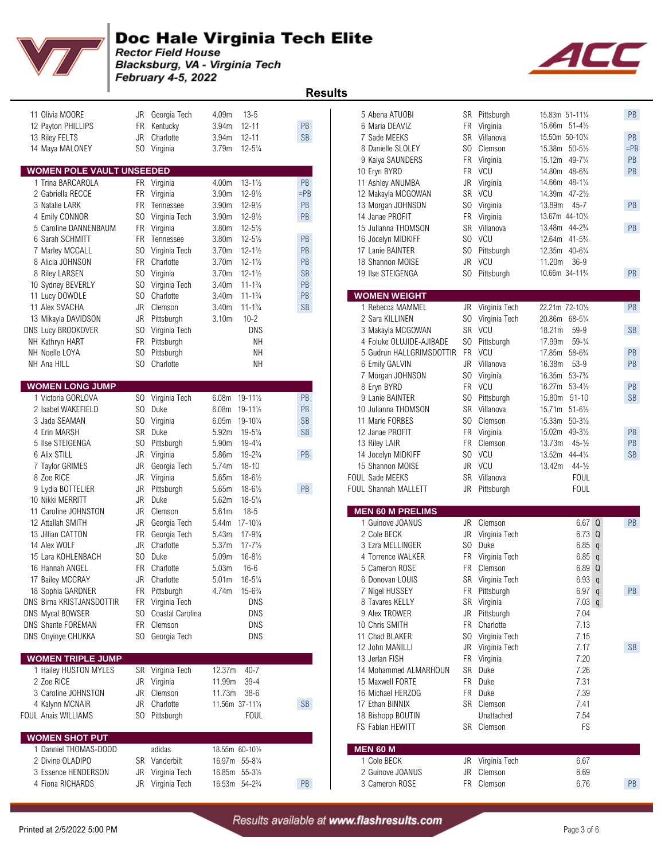

 **Results** 

Blacksburg, VA - Virginia Tech February 4-5, 2022

| 11 Olivia MOORE                              |     | JR Georgia Tech     | 4.09m                                  | $13 - 5$            |           | 5 Abena ATUOBI                         |           | SR Pittsburgh           | 15.83m 51-111/4                          |                                  | PB              |
|----------------------------------------------|-----|---------------------|----------------------------------------|---------------------|-----------|----------------------------------------|-----------|-------------------------|------------------------------------------|----------------------------------|-----------------|
| 12 Payton PHILLIPS                           | FR  | Kentucky            | 3.94m                                  | $12 - 11$           | PB        | 6 Maria DEAVIZ                         |           | FR Virginia             | 15.66m 51-41/2                           |                                  |                 |
| 13 Riley FELTS                               | JR  | Charlotte           | 3.94m                                  | $12 - 11$           | <b>SB</b> | 7 Sade MEEKS                           | SR        | Villanova               | 15.50m 50-101/4                          |                                  | PB              |
| 14 Maya MALONEY                              |     | SO Virginia         | 3.79 <sub>m</sub>                      | $12 - 5\frac{1}{4}$ |           | 8 Danielle SLOLEY                      | SO.       | Clemson                 | 15.38m 50-51/2                           |                                  | $=$ PE          |
|                                              |     |                     |                                        |                     |           | 9 Kaiya SAUNDERS                       | FR        | Virginia                | 15.12m                                   | 49-71/4                          | PB              |
| <b>WOMEN POLE VAULT UNSEEDED</b>             |     |                     |                                        |                     |           | 10 Eryn BYRD                           |           | FR VCU                  | 14.80m                                   | $48 - 6\frac{3}{4}$              | PB              |
| 1 Trina BARCAROLA                            |     | FR Virginia         | 4.00m                                  | $13 - 1\frac{1}{2}$ | PB        | 11 Ashley ANUMBA                       | JR        | Virginia                | 14.66m                                   | $48 - 1\frac{1}{4}$              |                 |
| 2 Gabriella RECCE                            |     | FR Virginia         | 3.90m                                  | $12 - 9\frac{1}{2}$ | $=$ PB    | 12 Makayla MCGOWAN                     | SR        | VCU                     | 14.39m                                   | $47 - 2\frac{1}{2}$              |                 |
| 3 Natalie LARK                               |     | FR Tennessee        | 3.90m                                  | $12 - 9\frac{1}{2}$ | PB        | 13 Morgan JOHNSON                      | SO.       | Virginia                | 13.89m                                   | $45 - 7$                         | PB              |
| 4 Emily CONNOR                               | SO. | Virginia Tech       | 3.90m                                  | $12 - 9\frac{1}{2}$ | PB        | 14 Janae PROFIT                        |           | FR Virginia             | 13.67m 44-101/4                          |                                  |                 |
| 5 Caroline DANNENBAUM                        |     | FR Virginia         | 3.80m                                  | $12 - 5\frac{1}{2}$ |           | 15 Julianna THOMSON                    |           | SR Villanova            | 13.48m 44-23/4                           |                                  | PB              |
| 6 Sarah SCHMITT                              |     | FR Tennessee        | 3.80m                                  | $12 - 5\frac{1}{2}$ | PB        | 16 Jocelyn MIDKIFF                     | SO        | VCU                     | 12.64m 41-5 <sup>3</sup> / <sub>4</sub>  |                                  |                 |
| 7 Marley MCCALL                              |     | SO Virginia Tech    | 3.70m                                  | $12 - 1\frac{1}{2}$ | PB        | 17 Lanie BAINTER                       |           | SO Pittsburgh           | 12.35m 40-61/4                           |                                  |                 |
| 8 Alicia JOHNSON                             | FR  | Charlotte           | 3.70m                                  | $12 - 1\frac{1}{2}$ | PB        | 18 Shannon MOISE                       |           | JR VCU                  | 11.20m                                   | $36-9$                           |                 |
| 8 Riley LARSEN                               | SO. | Virginia            | 3.70m                                  | $12 - 1\frac{1}{2}$ | <b>SB</b> | 19 Ilse STEIGENGA                      |           | SO Pittsburgh           | 10.66m 34-11 <sup>3</sup> / <sub>4</sub> |                                  | PB              |
| 10 Sydney BEVERLY                            | SO. | Virginia Tech       | 3.40m                                  | $11 - 1\frac{3}{4}$ | PB        |                                        |           |                         |                                          |                                  |                 |
| 11 Lucy DOWDLE                               | SO. | Charlotte           | 3.40m                                  | $11 - 1\frac{3}{4}$ | PB        | <b>WOMEN WEIGHT</b>                    |           |                         |                                          |                                  |                 |
| 11 Alex SVACHA                               | JR  | Clemson             | 3.40m                                  | $11 - 1\frac{3}{4}$ | SB        | 1 Rebecca MAMMEL                       |           | JR Virginia Tech        | 22.21m 72-101/2                          |                                  | PB              |
| 13 Mikayla DAVIDSON                          | JR  | Pittsburgh          | 3.10m                                  | $10 - 2$            |           | 2 Sara KILLINEN                        |           | SO Virginia Tech        | 20.86m 68-51/4                           |                                  |                 |
| DNS Lucy BROOKOVER                           | SO. | Virginia Tech       |                                        | DNS                 |           | 3 Makayla MCGOWAN                      |           | SR VCU                  | 18.21m                                   | 59-9                             | <b>SB</b>       |
| NH Kathryn HART                              | FR  | Pittsburgh          |                                        | NΗ                  |           | 4 Foluke OLUJIDE-AJIBADE               |           | SO Pittsburgh           | 17.99m                                   | $59 - \frac{1}{4}$               |                 |
| NH Noelle LOYA                               | SO. | Pittsburgh          |                                        | <b>NH</b>           |           | 5 Gudrun HALLGRIMSDOTTIR               |           | FR VCU                  | 17.85m                                   | $58 - 6\frac{3}{4}$              | PB              |
| NH Ana HILL                                  |     | SO Charlotte        |                                        | NΗ                  |           | 6 Emily GALVIN                         |           | JR Villanova            | 16.38m                                   | $53-9$                           | PB              |
|                                              |     |                     |                                        |                     |           | 7 Morgan JOHNSON                       | SO.       | Virginia                | 16.35m                                   | $53 - 7\frac{3}{4}$              |                 |
| <b>WOMEN LONG JUMP</b><br>1 Victoria GORLOVA |     | SO Virginia Tech    |                                        |                     | PB        | 8 Eryn BYRD                            |           | FR VCU                  | 16.27m 53-41/2                           |                                  | PB<br><b>SB</b> |
| 2 Isabel WAKEFIELD                           | SO. | Duke                | 6.08m 19-111/2<br>6.08m 19-111/2       |                     | PB        | 9 Lanie BAINTER<br>10 Julianna THOMSON | SO.<br>SR | Pittsburgh<br>Villanova | 15.80m<br>15.71m                         | $51 - 10$<br>$51 - 6\frac{1}{2}$ |                 |
| 3 Jada SEAMAN                                | SO. | Virginia            |                                        | 19-101/4            | <b>SB</b> | 11 Marie FORBES                        |           | SO Clemson              | 15.33m                                   | $50 - 3\frac{1}{2}$              |                 |
| 4 Erin MARSH                                 |     | SR Duke             | 6.05m<br>5.92m                         | $19 - 5\frac{1}{4}$ | <b>SB</b> | 12 Janae PROFIT                        |           | FR Virginia             | 15.02m                                   | $49 - 3\frac{1}{2}$              | PB              |
| 5 Ilse STEIGENGA                             | SO. | Pittsburgh          | 5.90m                                  | $19 - 4\frac{1}{4}$ |           |                                        | FR        | Clemson                 | 13.73m                                   | $45 - \frac{1}{2}$               | PB              |
| 6 Alix STILL                                 | JR  | Virginia            | 5.86m                                  | $19 - 2\frac{3}{4}$ | PB        | 13 Riley LAIR                          | SO.       | VCU                     | 13.52m                                   | $44 - 4\frac{1}{4}$              | <b>SB</b>       |
| 7 Taylor GRIMES                              | JR  | Georgia Tech        | 5.74m                                  | $18 - 10$           |           | 14 Jocelyn MIDKIFF<br>15 Shannon MOISE | JR        | VCU                     | 13.42m                                   | $44 - \frac{1}{2}$               |                 |
| 8 Zoe RICE                                   | JR  | Virginia            | 5.65m                                  | $18 - 6\frac{1}{2}$ |           | <b>FOUL Sade MEEKS</b>                 |           | SR Villanova            |                                          | <b>FOUL</b>                      |                 |
| 9 Lydia BOTTELIER                            | JR  | Pittsburgh          | 5.65m                                  | $18 - 6\frac{1}{2}$ | PB        | FOUL Shannah MALLETT                   |           | JR Pittsburgh           |                                          | <b>FOUL</b>                      |                 |
| 10 Nikki MERRITT                             | JR  | Duke                | 5.62m                                  | $18 - 5\frac{1}{4}$ |           |                                        |           |                         |                                          |                                  |                 |
| 11 Caroline JOHNSTON                         | JR  | Clemson             | 5.61m                                  | $18 - 5$            |           | <b>MEN 60 M PRELIMS</b>                |           |                         |                                          |                                  |                 |
| 12 Attallah SMITH                            | JR  | Georgia Tech        | 5.44m 17-101/4                         |                     |           | 1 Guinove JOANUS                       |           | JR Clemson              |                                          | 6.67 Q                           | PB              |
| 13 Jillian CATTON                            | FR  | Georgia Tech        | 5.43m                                  | $17 - 9\frac{3}{4}$ |           | 2 Cole BECK                            | JR        | Virginia Tech           |                                          | $6.73$ Q                         |                 |
| 14 Alex WOLF                                 | JR  | Charlotte           | 5.37m                                  | $17 - 7\frac{1}{2}$ |           | 3 Ezra MELLINGER                       | SO.       | Duke                    |                                          | $6.85$ q                         |                 |
| 15 Lara KOHLENBACH                           | SO. | Duke                | 5.09m                                  | $16 - 8\frac{1}{2}$ |           | 4 Torrence WALKER                      | FR        | Virginia Tech           |                                          | 6.85<br>$\mathsf{q}$             |                 |
| 16 Hannah ANGEL                              | FR  | Charlotte           | 5.03m                                  | $16 - 6$            |           | 5 Cameron ROSE                         |           | FR Clemson              |                                          | 6.89 Q                           |                 |
| 17 Bailey MCCRAY                             | JR  | Charlotte           | 5.01 <sub>m</sub>                      | $16 - 5\frac{1}{4}$ |           | 6 Donovan LOUIS                        |           | SR Virginia Tech        |                                          | 6.93q                            |                 |
| 18 Sophia GARDNER                            |     | FR Pittsburgh       | 4.74m 15-6 <sup>3</sup> / <sub>4</sub> |                     |           | 7 Nigel HUSSEY                         |           | FR Pittsburgh           |                                          | 6.97q                            | PB              |
| DNS Birna KRISTJANSDOTTIR                    |     | FR Virginia Tech    |                                        | DNS                 |           | 8 Tavares KELLY                        |           | SR Virginia             |                                          | $7.03$ q                         |                 |
| DNS Mycal BOWSER                             |     | SO Coastal Carolina |                                        | DNS                 |           | 9 Alex TROWER                          |           | JR Pittsburgh           |                                          | 7.04                             |                 |
| DNS Shante FOREMAN                           |     | FR Clemson          |                                        | DNS                 |           | 10 Chris SMITH                         |           | FR Charlotte            |                                          | 7.13                             |                 |
| DNS Onyinye CHUKKA                           |     | SO Georgia Tech     |                                        | DNS                 |           | 11 Chad BLAKER                         |           | SO Virginia Tech        |                                          | 7.15                             |                 |
|                                              |     |                     |                                        |                     |           | 12 John MANILLI                        |           | JR Virginia Tech        |                                          | 7.17                             | SB              |
| <b>WOMEN TRIPLE JUMP</b>                     |     |                     |                                        |                     |           | 13 Jerlan FISH                         |           | FR Virginia             |                                          | 7.20                             |                 |
| 1 Hailey HUSTON MYLES                        |     | SR Virginia Tech    | 12.37m                                 | $40 - 7$            |           | 14 Mohammed ALMARHOUN                  |           | SR Duke                 |                                          | 7.26                             |                 |
| 2 Zoe RICE                                   |     | JR Virginia         | 11.99m                                 | $39 - 4$            |           | 15 Maxwell FORTE                       |           | FR Duke                 |                                          | 7.31                             |                 |
| 3 Caroline JOHNSTON                          |     | JR Clemson          | 11.73m 38-6                            |                     |           | 16 Michael HERZOG                      |           | FR Duke                 |                                          | 7.39                             |                 |
| 4 Kalynn MCNAIR                              | JR  | Charlotte           | 11.56m 37-111/4                        |                     | <b>SB</b> | 17 Ethan BINNIX                        |           | SR Clemson              |                                          | 7.41                             |                 |
| FOUL Anais WILLIAMS                          |     | SO Pittsburgh       |                                        | <b>FOUL</b>         |           | 18 Bishopp BOUTIN                      |           | Unattached              |                                          | 7.54                             |                 |
|                                              |     |                     |                                        |                     |           | FS Fabian HEWITT                       |           | SR Clemson              |                                          | FS                               |                 |
| <b>WOMEN SHOT PUT</b>                        |     |                     |                                        |                     |           |                                        |           |                         |                                          |                                  |                 |
| 1 Danniel THOMAS-DODD                        |     | adidas              |                                        | 18.55m 60-101/2     |           | <b>MEN 60 M</b>                        |           |                         |                                          |                                  |                 |
| 2 Divine OLADIPO                             |     | SR Vanderbilt       |                                        | 16.97m 55-81/4      |           | 1 Cole BECK                            |           | JR Virginia Tech        |                                          | 6.67                             |                 |
| 3 Essence HENDERSON                          |     | JR Virginia Tech    |                                        | 16.85m 55-31/2      |           | 2 Guinove JOANUS                       |           | JR Clemson              |                                          | 6.69                             |                 |
| Eione DICHADDO                               |     | ID Virginia Toob    | 10E                                    | E A 23/             | DD.       | 2 Camaron DOCE                         |           | ED Clompon              |                                          | $C$ 7 $C$                        | <b>DD</b>       |

|                                  |                |                     |                   |                                        | nesuits   |                          |                |                  |                                          |                      |
|----------------------------------|----------------|---------------------|-------------------|----------------------------------------|-----------|--------------------------|----------------|------------------|------------------------------------------|----------------------|
| 11 Olivia MOORE                  | JR             | Georgia Tech        | 4.09m             | $13 - 5$                               |           | 5 Abena ATUOBI           |                | SR Pittsburgh    | 15.83m 51-111/4                          | PB                   |
| 12 Payton PHILLIPS               | FR             | Kentucky            | 3.94m             | $12 - 11$                              | PB        | 6 Maria DEAVIZ           |                | FR Virginia      | 15.66m 51-41/2                           |                      |
| 13 Riley FELTS                   | JR             | Charlotte           | 3.94m             | $12 - 11$                              | <b>SB</b> | 7 Sade MEEKS             | <b>SR</b>      | Villanova        | 15.50m 50-101/4                          | PB                   |
| 14 Maya MALONEY                  |                | SO Virginia         | 3.79m             | $12 - 5\frac{1}{4}$                    |           | 8 Danielle SLOLEY        | SO.            | Clemson          | 15.38m 50-51/2                           | $=$ PB               |
|                                  |                |                     |                   |                                        |           | 9 Kaiya SAUNDERS         | <b>FR</b>      | Virginia         | 15.12m 49-71/4                           | PB                   |
| <b>VOMEN POLE VAULT UNSEEDED</b> |                |                     |                   |                                        |           | 10 Eryn BYRD             | <b>FR</b>      | VCU              | 14.80m<br>$48 - 6\frac{3}{4}$            | PB                   |
| 1 Trina BARCAROLA                |                | FR Virginia         | 4.00m             | $13 - 1\frac{1}{2}$                    | PB        | 11 Ashley ANUMBA         | JR             | Virginia         | $48 - 1\frac{1}{4}$<br>14.66m            |                      |
| 2 Gabriella RECCE                |                | FR Virginia         | 3.90m             | $12 - 9\frac{1}{2}$                    | $=$ PB    | 12 Makayla MCGOWAN       | SR             | <b>VCU</b>       | 14.39m 47-21/2                           |                      |
| 3 Natalie LARK                   | FR             | Tennessee           | 3.90m             | $12 - 9\frac{1}{2}$                    | PB        | 13 Morgan JOHNSON        | S <sub>0</sub> | Virginia         | 13.89m<br>$45 - 7$                       | PB                   |
| 4 Emily CONNOR                   | SO.            | Virginia Tech       | 3.90m             | $12 - 9\frac{1}{2}$                    | PB        | 14 Janae PROFIT          | <b>FR</b>      | Virginia         | 13.67m 44-101/4                          |                      |
| 5 Caroline DANNENBAUM            | <b>FR</b>      | Virginia            | 3.80m             | $12 - 5\frac{1}{2}$                    |           | 15 Julianna THOMSON      | <b>SR</b>      | Villanova        | 13.48m 44-2 <sup>3</sup> / <sub>4</sub>  | PB                   |
| 6 Sarah SCHMITT                  | FR.            | Tennessee           | 3.80m             | $12 - 5\frac{1}{2}$                    | PB        | 16 Jocelyn MIDKIFF       |                | SO VCU           | 12.64m 41-5 <sup>3</sup> / <sub>4</sub>  |                      |
| 7 Marley MCCALL                  | SO.            | Virginia Tech       | 3.70m             | $12 - 1\frac{1}{2}$                    | PB        | 17 Lanie BAINTER         | SO.            | Pittsburgh       | 12.35m 40-61/4                           |                      |
| 8 Alicia JOHNSON                 | FR.            | Charlotte           | 3.70m             | $12 - 1\frac{1}{2}$                    | PB        | 18 Shannon MOISE         | JR             | VCU              | 11.20m<br>$36-9$                         |                      |
| 8 Riley LARSEN                   | S <sub>0</sub> | Virginia            | 3.70m             | $12 - 1\frac{1}{2}$                    | <b>SB</b> | 19 Ilse STEIGENGA        |                | SO Pittsburgh    | 10.66m 34-11 <sup>3</sup> / <sub>4</sub> | PB                   |
|                                  |                |                     |                   | $11 - 1\frac{3}{4}$                    | PB        |                          |                |                  |                                          |                      |
| 10 Sydney BEVERLY                | SO.            | Virginia Tech       | 3.40m             |                                        | PB        | <b>WOMEN WEIGHT</b>      |                |                  |                                          |                      |
| 11 Lucy DOWDLE                   | SO.            | Charlotte           | 3.40 <sub>m</sub> | $11 - 1\frac{3}{4}$                    |           |                          |                |                  |                                          |                      |
| 11 Alex SVACHA                   | JR             | Clemson             | 3.40m             | $11 - 1\frac{3}{4}$                    | <b>SB</b> | 1 Rebecca MAMMEL         |                | JR Virginia Tech | 22.21m 72-101/2                          | PB                   |
| 13 Mikayla DAVIDSON              | JR             | Pittsburgh          | 3.10 <sub>m</sub> | $10 - 2$                               |           | 2 Sara KILLINEN          |                | SO Virginia Tech | 20.86m 68-51/4                           |                      |
| <b>VS Lucy BROOKOVER</b>         | SO.            | Virginia Tech       |                   | DNS                                    |           | 3 Makayla MCGOWAN        |                | SR VCU           | 18.21m<br>59-9                           | <b>SB</b>            |
| VH Kathryn HART                  | FR             | Pittsburgh          |                   | <b>NH</b>                              |           | 4 Foluke OLUJIDE-AJIBADE |                | SO Pittsburgh    | 17.99m<br>$59-1/4$                       |                      |
| <b>NH Noelle LOYA</b>            | SO.            | Pittsburgh          |                   | NH                                     |           | 5 Gudrun HALLGRIMSDOTTIR | <b>FR</b>      | VCU              | $58 - 6\frac{3}{4}$<br>17.85m            | PB                   |
| √H Ana HILL                      | SO.            | Charlotte           |                   | <b>NH</b>                              |           | 6 Emily GALVIN           |                | JR Villanova     | 16.38m<br>$53-9$                         | PB                   |
|                                  |                |                     |                   |                                        |           | 7 Morgan JOHNSON         | SO.            | Virginia         | 16.35m 53-7 <sup>3</sup> / <sub>4</sub>  |                      |
| <b>VOMEN LONG JUMP</b>           |                |                     |                   |                                        |           | 8 Eryn BYRD              | FR             | VCU              | 16.27m 53-41/2                           | PB                   |
| 1 Victoria GORLOVA               | SO.            | Virginia Tech       | 6.08m             | 19-111/2                               | PB        | 9 Lanie BAINTER          | SO.            | Pittsburgh       | 15.80m<br>$51 - 10$                      | $\mathsf{SB}\xspace$ |
| 2 Isabel WAKEFIELD               | SO.            | Duke                | 6.08m             | 19-111/2                               | PB        | 10 Julianna THOMSON      | SR             | Villanova        | 15.71m 51-61/2                           |                      |
| 3 Jada SEAMAN                    | SO.            | Virginia            |                   | 6.05m 19-101/4                         | <b>SB</b> | 11 Marie FORBES          | SO.            | Clemson          | 15.33m 50-31/2                           |                      |
| 4 Erin MARSH                     | SR             | Duke                | 5.92m             | $19 - 5\frac{1}{4}$                    | <b>SB</b> | 12 Janae PROFIT          | FR             | Virginia         | 15.02m<br>$49 - 3\frac{1}{2}$            | PB                   |
| 5 Ilse STEIGENGA                 | SO.            | Pittsburgh          | 5.90m             | $19 - 4\frac{1}{4}$                    |           | 13 Riley LAIR            | FR             | Clemson          | 13.73m<br>$45 - \frac{1}{2}$             | PB                   |
| 6 Alix STILL                     | JR             | Virginia            | 5.86m             | $19 - 2\frac{3}{4}$                    | PB        | 14 Jocelyn MIDKIFF       |                | SO VCU           | 13.52m<br>$44 - 4\frac{1}{4}$            | SB                   |
| 7 Taylor GRIMES                  | JR             | Georgia Tech        | 5.74m             | $18 - 10$                              |           | 15 Shannon MOISE         | JR             | VCU              | 13.42m<br>$44 - \frac{1}{2}$             |                      |
| 8 Zoe RICE                       | JR             | Virginia            | 5.65m             | $18 - 6\frac{1}{2}$                    |           | FOUL Sade MEEKS          | SR             | Villanova        | FOUL                                     |                      |
| 9 Lydia BOTTELIER                | JR             | Pittsburgh          | 5.65m             | $18 - 6\frac{1}{2}$                    | PB        | FOUL Shannah MALLETT     |                | JR Pittsburgh    | <b>FOUL</b>                              |                      |
| 10 Nikki MERRITT                 | JR             | Duke                | 5.62m             | $18 - 5\frac{1}{4}$                    |           |                          |                |                  |                                          |                      |
| 11 Caroline JOHNSTON             | JR             | Clemson             | 5.61m             | $18 - 5$                               |           | <b>MEN 60 M PRELIMS</b>  |                |                  |                                          |                      |
| 12 Attallah SMITH                | JR             | Georgia Tech        | 5.44m             | $17 - 10\%$                            |           | 1 Guinove JOANUS         | JR             | Clemson          | 6.67 Q                                   | PB                   |
| 13 Jillian CATTON                | FR.            | Georgia Tech        | 5.43m             | $17 - 9\frac{3}{4}$                    |           | 2 Cole BECK              | JR             | Virginia Tech    | 6.73 Q                                   |                      |
| 14 Alex WOLF                     | JR             | Charlotte           | 5.37 <sub>m</sub> | $17 - 7\frac{1}{2}$                    |           | 3 Ezra MELLINGER         |                | SO Duke          | 6.85<br>$\mathfrak{q}$                   |                      |
| 15 Lara KOHLENBACH               | SO.            | Duke                | 5.09m             | $16 - 8\frac{1}{2}$                    |           | 4 Torrence WALKER        | FR             | Virginia Tech    | 6.85<br>$\mathfrak q$                    |                      |
| 16 Hannah ANGEL                  | FR             | Charlotte           | 5.03m             | $16 - 6$                               |           | 5 Cameron ROSE           |                | FR Clemson       | 6.89 <sub>Q</sub>                        |                      |
| 17 Bailey MCCRAY                 |                | JR Charlotte        |                   | 5.01m 16-51/4                          |           | 6 Donovan LOUIS          |                | SR Virginia Tech | 6.93q                                    |                      |
| 18 Sophia GARDNER                |                | FR Pittsburgh       |                   | 4.74m 15-6 <sup>3</sup> / <sub>4</sub> |           | 7 Nigel HUSSEY           |                | FR Pittsburgh    | 6.97q                                    | PB                   |
| <b>NS Birna KRISTJANSDOTTIR</b>  |                | FR Virginia Tech    |                   | <b>DNS</b>                             |           | 8 Tavares KELLY          |                | SR Virginia      | $7.03$ q                                 |                      |
| <b>VS Mycal BOWSER</b>           |                | SO Coastal Carolina |                   | <b>DNS</b>                             |           | 9 Alex TROWER            |                | JR Pittsburgh    | 7.04                                     |                      |
| <b>VS Shante FOREMAN</b>         |                | FR Clemson          |                   | DNS                                    |           | 10 Chris SMITH           |                | FR Charlotte     | 7.13                                     |                      |
| <b>VS Onyinye CHUKKA</b>         |                | SO Georgia Tech     |                   | DNS                                    |           | 11 Chad BLAKER           |                | SO Virginia Tech | 7.15                                     |                      |
|                                  |                |                     |                   |                                        |           | 12 John MANILLI          |                | JR Virginia Tech | 7.17                                     | <b>SB</b>            |
|                                  |                |                     |                   |                                        |           |                          |                |                  |                                          |                      |
| <b>VOMEN TRIPLE JUMP</b>         |                |                     |                   |                                        |           | 13 Jerlan FISH           |                | FR Virginia      | 7.20                                     |                      |
| 1 Hailey HUSTON MYLES            |                | SR Virginia Tech    | 12.37m            | $40 - 7$                               |           | 14 Mohammed ALMARHOUN    |                | SR Duke          | 7.26                                     |                      |
| 2 Zoe RICE                       |                | JR Virginia         | 11.99m            | $39 - 4$                               |           | 15 Maxwell FORTE         |                | FR Duke          | 7.31                                     |                      |
| 3 Caroline JOHNSTON              |                | JR Clemson          | 11.73m 38-6       |                                        |           | 16 Michael HERZOG        |                | FR Duke          | 7.39                                     |                      |
| 4 Kalynn MCNAIR                  | JR             | Charlotte           |                   | 11.56m 37-111/4                        | SB        | 17 Ethan BINNIX          |                | SR Clemson       | 7.41                                     |                      |
| UL Anais WILLIAMS                |                | SO Pittsburgh       |                   | <b>FOUL</b>                            |           | 18 Bishopp BOUTIN        |                | Unattached       | 7.54                                     |                      |
|                                  |                |                     |                   |                                        |           | FS Fabian HEWITT         |                | SR Clemson       | FS                                       |                      |
| <b>VOMEN SHOT PUT</b>            |                |                     |                   |                                        |           |                          |                |                  |                                          |                      |
| 1 Danniel THOMAS-DODD            |                | adidas              |                   | 18.55m 60-101/2                        |           | <b>MEN 60 M</b>          |                |                  |                                          |                      |
| 2 Divine OLADIPO                 |                | SR Vanderbilt       |                   | 16.97m 55-81/4                         |           | 1 Cole BECK              |                | JR Virginia Tech | 6.67                                     |                      |
| 3 Essence HENDERSON              |                | JR Virginia Tech    |                   | 16.85m 55-31/2                         |           | 2 Guinove JOANUS         |                | JR Clemson       | 6.69                                     |                      |
| 4 Fiona RICHARDS                 |                | JR Virginia Tech    |                   | 16.53m 54-23/4                         | PB        | 3 Cameron ROSE           |                | FR Clemson       | 6.76                                     | PB                   |
|                                  |                |                     |                   |                                        |           |                          |                |                  |                                          |                      |

AC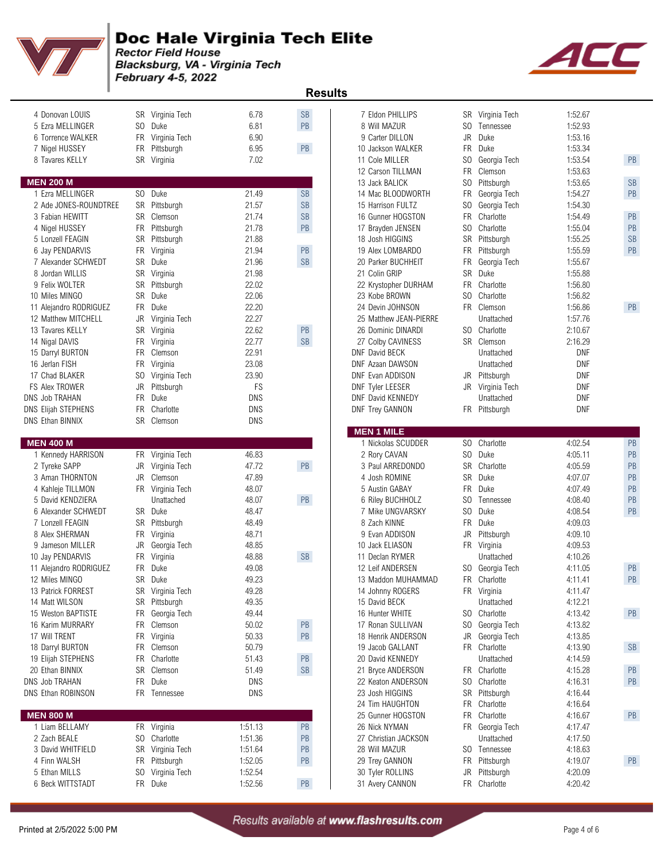

Blacksburg, VA - Virginia Tech February 4-5, 2022

ACI

| 4 Donovan LOUIS         |     | SR Virginia Tech            | 6.78           | <b>SB</b>              | 7 Eldon PHILLIPS                        |                | SR Virginia Tech          | 1:52.67            |           |
|-------------------------|-----|-----------------------------|----------------|------------------------|-----------------------------------------|----------------|---------------------------|--------------------|-----------|
| 5 Ezra MELLINGER        |     | SO Duke                     | 6.81           | PB                     | 8 Will MAZUR                            | SO.            | Tennessee                 | 1:52.93            |           |
| 6 Torrence WALKER       |     | FR Virginia Tech            | 6.90           |                        | 9 Carter DILLON                         | JR             | Duke                      | 1:53.16            |           |
| 7 Nigel HUSSEY          |     | FR Pittsburgh               | 6.95           | PB                     | 10 Jackson WALKER                       | <b>FR</b>      | Duke                      | 1:53.34            |           |
| 8 Tavares KELLY         |     | SR Virginia                 | 7.02           |                        | 11 Cole MILLER                          | SO.            | Georgia Tech              | 1:53.54            | PB        |
|                         |     |                             |                |                        | 12 Carson TILLMAN                       | <b>FR</b>      | Clemson                   | 1:53.63            |           |
| <b>MEN 200 M</b>        |     |                             |                |                        | 13 Jack BALICK                          | SO.            | Pittsburgh                | 1:53.65            | <b>SB</b> |
| 1 Ezra MELLINGER        |     | SO Duke                     | 21.49          | <b>SB</b>              | 14 Mac BLOODWORTH                       | FR             | Georgia Tech              | 1:54.27            | PB        |
| 2 Ade JONES-ROUNDTREE   |     | SR Pittsburgh               | 21.57          | <b>SB</b>              | 15 Harrison FULTZ                       | SO.            | Georgia Tech              | 1:54.30            |           |
| 3 Fabian HEWITT         |     | SR Clemson                  | 21.74          | <b>SB</b>              | 16 Gunner HOGSTON                       | <b>FR</b>      | Charlotte                 | 1:54.49            | PB        |
| 4 Nigel HUSSEY          |     | FR Pittsburgh               | 21.78          | PB                     | 17 Brayden JENSEN                       | SO.            | Charlotte                 | 1:55.04            | PB        |
| 5 Lonzell FEAGIN        |     | SR Pittsburgh               | 21.88          |                        | 18 Josh HIGGINS                         | <b>SR</b>      | Pittsburgh                | 1:55.25            | <b>SB</b> |
| 6 Jay PENDARVIS         | FR  | Virginia                    | 21.94          | PB                     | 19 Alex LOMBARDO                        | FR             | Pittsburgh                | 1:55.59            | PB        |
| 7 Alexander SCHWEDT     |     | SR Duke                     | 21.96          | <b>SB</b>              | 20 Parker BUCHHEIT                      | FR             | Georgia Tech              | 1:55.67            |           |
| 8 Jordan WILLIS         |     | SR Virginia                 | 21.98          |                        | 21 Colin GRIP                           | SR             | Duke                      | 1:55.88            |           |
| 9 Felix WOLTER          |     | SR Pittsburgh               | 22.02          |                        | 22 Krystopher DURHAM                    | <b>FR</b>      | Charlotte                 | 1:56.80            |           |
| 10 Miles MINGO          |     | SR Duke                     | 22.06          |                        | 23 Kobe BROWN                           | SO.            | Charlotte                 | 1:56.82            |           |
|                         |     | FR Duke                     | 22.20          |                        | 24 Devin JOHNSON                        |                | FR Clemson                | 1:56.86            | PB        |
| 11 Alejandro RODRIGUEZ  |     |                             |                |                        |                                         |                |                           |                    |           |
| 12 Matthew MITCHELL     | JR  | Virginia Tech               | 22.27          |                        | 25 Matthew JEAN-PIERRE                  | SO.            | Unattached<br>Charlotte   | 1:57.76            |           |
| 13 Tavares KELLY        | SR  | Virginia                    | 22.62          | PB                     | 26 Dominic DINARDI                      |                |                           | 2:10.67            |           |
| 14 Nigal DAVIS          | FR. | Virginia                    | 22.77          | $\mathsf{SB}\xspace$   | 27 Colby CAVINESS                       |                | SR Clemson                | 2:16.29            |           |
| 15 Darryl BURTON        |     | FR Clemson                  | 22.91          |                        | DNF David BECK                          |                | Unattached                | <b>DNF</b>         |           |
| 16 Jerlan FISH          |     | FR Virginia                 | 23.08          |                        | DNF Azaan DAWSON                        |                | Unattached                | <b>DNF</b>         |           |
| 17 Chad BLAKER          |     | SO Virginia Tech            | 23.90          |                        | DNF Evan ADDISON                        | JR             | Pittsburgh                | DNF                |           |
| <b>FS Alex TROWER</b>   | JR  | Pittsburgh                  | FS             |                        | <b>DNF Tyler LEESER</b>                 | JR             | Virginia Tech             | <b>DNF</b>         |           |
| DNS Job TRAHAN          |     | FR Duke                     | <b>DNS</b>     |                        | DNF David KENNEDY                       |                | Unattached                | <b>DNF</b>         |           |
| DNS Elijah STEPHENS     |     | FR Charlotte                | DNS            |                        | <b>DNF Trey GANNON</b>                  |                | FR Pittsburgh             | <b>DNF</b>         |           |
| <b>DNS Ethan BINNIX</b> |     | SR Clemson                  | DNS            |                        |                                         |                |                           |                    |           |
| <b>MEN 400 M</b>        |     |                             |                |                        | <b>MEN 1 MILE</b><br>1 Nickolas SCUDDER |                | SO Charlotte              | 4:02.54            | PB        |
| 1 Kennedy HARRISON      |     | FR Virginia Tech            | 46.83          |                        | 2 Rory CAVAN                            | SO.            | Duke                      | 4:05.11            | PB        |
| 2 Tyreke SAPP           | JR  | Virginia Tech               | 47.72          | PB                     | 3 Paul ARREDONDO                        | <b>SR</b>      | Charlotte                 | 4:05.59            | PB        |
| 3 Aman THORNTON         | JR  | Clemson                     | 47.89          |                        | 4 Josh ROMINE                           | SR             | Duke                      | 4:07.07            | PB        |
| 4 Kahleje TILLMON       |     | FR Virginia Tech            | 48.07          |                        | 5 Austin GABAY                          | FR.            | Duke                      | 4:07.49            | PB        |
| 5 David KENDZIERA       |     | Unattached                  | 48.07          | PB                     | 6 Riley BUCHHOLZ                        | SO.            | Tennessee                 | 4:08.40            | PB        |
| 6 Alexander SCHWEDT     |     | SR Duke                     | 48.47          |                        | 7 Mike UNGVARSKY                        | S <sub>0</sub> | Duke                      | 4:08.54            | PB        |
| 7 Lonzell FEAGIN        |     | SR Pittsburgh               | 48.49          |                        | 8 Zach KINNE                            | <b>FR</b>      | Duke                      | 4:09.03            |           |
| 8 Alex SHERMAN          |     |                             |                |                        |                                         |                |                           |                    |           |
|                         |     | FR Virginia<br>Georgia Tech | 48.71<br>48.85 |                        | 9 Evan ADDISON<br>10 Jack ELIASON       | JR             | Pittsburgh<br>FR Virginia | 4:09.10<br>4:09.53 |           |
| 9 Jameson MILLER        | JR  |                             |                |                        |                                         |                |                           |                    |           |
| 10 Jay PENDARVIS        | FR  | Virginia                    | 48.88          | SB                     | 11 Declan RYMER                         |                | Unattached                | 4:10.26            |           |
| 11 Alejandro RODRIGUEZ  |     | FR Duke                     | 49.08          |                        | 12 Leif ANDERSEN                        |                | SO Georgia Tech           | 4:11.05            | PB        |
| 12 Miles MINGO          |     | SR Duke                     | 49.23          |                        | 13 Maddon MUHAMMAD                      |                | FR Charlotte              | 4:11.41            | PB        |
| 13 Patrick FORREST      |     | SR Virginia Tech            | 49.28          |                        | 14 Johnny ROGERS                        |                | FR Virginia               | 4:11.47            |           |
| 14 Matt WILSON          |     | SR Pittsburgh               | 49.35          |                        | 15 David BECK                           |                | Unattached                | 4:12.21            |           |
| 15 Weston BAPTISTE      |     | FR Georgia Tech             | 49.44          |                        | 16 Hunter WHITE                         |                | SO Charlotte              | 4:13.42            | PB        |
| 16 Karim MURRARY        |     | FR Clemson                  | 50.02          | PB                     | 17 Ronan SULLIVAN                       | SO.            | Georgia Tech              | 4:13.82            |           |
| 17 Will TRENT           |     | FR Virginia                 | 50.33          | PB                     | 18 Henrik ANDERSON                      | JR             | Georgia Tech              | 4:13.85            |           |
| 18 Darryl BURTON        |     | FR Clemson                  | 50.79          |                        | 19 Jacob GALLANT                        |                | FR Charlotte              | 4:13.90            | SB        |
| 19 Elijah STEPHENS      |     | FR Charlotte                | 51.43          | PB                     | 20 David KENNEDY                        |                | Unattached                | 4:14.59            |           |
| 20 Ethan BINNIX         |     | SR Clemson                  | 51.49          | $\mathbb{S}\mathbb{B}$ | 21 Bryce ANDERSON                       |                | FR Charlotte              | 4:15.28            | PB        |
| DNS Job TRAHAN          |     | FR Duke                     | <b>DNS</b>     |                        | 22 Keaton ANDERSON                      | SO             | Charlotte                 | 4:16.31            | PB        |
| DNS Ethan ROBINSON      |     | FR Tennessee                | <b>DNS</b>     |                        | 23 Josh HIGGINS                         |                | SR Pittsburgh             | 4:16.44            |           |
|                         |     |                             |                |                        | 24 Tim HAUGHTON                         |                | FR Charlotte              | 4:16.64            |           |
| <b>MEN 800 M</b>        |     |                             |                |                        | 25 Gunner HOGSTON                       | FR             | Charlotte                 | 4:16.67            | PB        |
| 1 Liam BELLAMY          |     | FR Virginia                 | 1:51.13        | PB                     | 26 Nick NYMAN                           |                | FR Georgia Tech           | 4:17.47            |           |
| 2 Zach BEALE            |     | SO Charlotte                | 1:51.36        | PB                     | 27 Christian JACKSON                    |                | Unattached                | 4:17.50            |           |
| 3 David WHITFIELD       |     | SR Virginia Tech            | 1:51.64        | PB                     | 28 Will MAZUR                           |                | SO Tennessee              | 4:18.63            |           |
| 4 Finn WALSH            |     | FR Pittsburgh               | 1:52.05        | PB                     | 29 Trey GANNON                          | <b>FR</b>      | Pittsburgh                | 4:19.07            | PB        |
| 5 Ethan MILLS           |     | SO Virginia Tech            | 1:52.54        |                        | 30 Tyler ROLLINS                        | JR             | Pittsburgh                | 4:20.09            |           |
| 6 Beck WITTSTADT        |     | FR Duke                     | 1.52.56        | PR                     | 31 Avery CANNON                         |                | FR Charlotte              | 4.2042             |           |

|                                    |                |                                   |                |           | <b>Results</b>                      |           |                               |                    |                      |
|------------------------------------|----------------|-----------------------------------|----------------|-----------|-------------------------------------|-----------|-------------------------------|--------------------|----------------------|
| 4 Donovan LOUIS                    |                | SR Virginia Tech                  | 6.78           | <b>SB</b> | 7 Eldon PHILLIPS                    |           | SR Virginia Tech              | 1:52.67            |                      |
| 5 Ezra MELLINGER                   | SO.            | Duke                              | 6.81           | PB        | 8 Will MAZUR                        | SO.       | Tennessee                     | 1:52.93            |                      |
| 6 Torrence WALKER                  | FR             | Virginia Tech                     | 6.90           |           | 9 Carter DILLON                     | JR        | Duke                          | 1:53.16            |                      |
| 7 Nigel HUSSEY                     | FR             | Pittsburgh                        | 6.95           | PB        | 10 Jackson WALKER                   | FR.       | Duke                          | 1:53.34            |                      |
| 8 Tavares KELLY                    |                | SR Virginia                       | 7.02           |           | 11 Cole MILLER                      | SO.       | Georgia Tech                  | 1:53.54            | PB                   |
|                                    |                |                                   |                |           | 12 Carson TILLMAN                   | FR        | Clemson                       | 1:53.63            |                      |
| <b>EN 200 M</b>                    |                |                                   |                |           | 13 Jack BALICK                      | SO.       | Pittsburgh                    | 1:53.65            | $\mathsf{SB}\xspace$ |
| 1 Ezra MELLINGER                   | S <sub>0</sub> | Duke                              | 21.49          | <b>SB</b> | 14 Mac BLOODWORTH                   | <b>FR</b> | Georgia Tech                  | 1:54.27            | PB                   |
| 2 Ade JONES-ROUNDTREE              |                | SR Pittsburgh                     | 21.57          | <b>SB</b> | 15 Harrison FULTZ                   |           | SO Georgia Tech               | 1:54.30            |                      |
| 3 Fabian HEWITT                    |                | SR Clemson                        | 21.74          | <b>SB</b> | 16 Gunner HOGSTON                   | FR.       | Charlotte                     | 1:54.49            | PB                   |
| 4 Nigel HUSSEY                     | FR             | Pittsburgh                        | 21.78          | PB        | 17 Brayden JENSEN                   | SO.       | Charlotte                     | 1:55.04            | PB                   |
| 5 Lonzell FEAGIN                   | SR             | Pittsburgh                        | 21.88          |           | 18 Josh HIGGINS                     | SR        | Pittsburgh                    | 1:55.25            | $\mathsf{SB}\xspace$ |
| 6 Jay PENDARVIS                    |                | FR Virginia                       | 21.94          | PB        | 19 Alex LOMBARDO                    | FR        | Pittsburgh                    | 1:55.59            | PB                   |
| 7 Alexander SCHWEDT                |                | SR Duke                           | 21.96          | <b>SB</b> | 20 Parker BUCHHEIT                  | FR        | Georgia Tech                  | 1:55.67            |                      |
| 8 Jordan WILLIS                    |                | SR Virginia                       | 21.98          |           | 21 Colin GRIP                       | <b>SR</b> | Duke                          | 1:55.88            |                      |
| 9 Felix WOLTER                     | <b>SR</b>      | Pittsburgh                        | 22.02          |           | 22 Krystopher DURHAM                | FR        | Charlotte                     | 1:56.80            |                      |
| 0 Miles MINGO                      | SR             | Duke                              | 22.06          |           | 23 Kobe BROWN                       | SO.       | Charlotte                     | 1:56.82            |                      |
| 1 Alejandro RODRIGUEZ              | <b>FR</b>      | Duke                              | 22.20          |           | 24 Devin JOHNSON                    |           | FR Clemson                    | 1:56.86            | PB                   |
| 2 Matthew MITCHELL                 | JR             | Virginia Tech                     | 22.27          |           | 25 Matthew JEAN-PIERRE              |           | Unattached                    | 1:57.76            |                      |
| 3 Tavares KELLY                    |                | SR Virginia                       | 22.62          | <b>PB</b> | 26 Dominic DINARDI                  |           | SO Charlotte                  | 2:10.67            |                      |
| 4 Nigal DAVIS                      | FR             | Virginia                          | 22.77          | <b>SB</b> | 27 Colby CAVINESS                   |           | SR Clemson                    | 2:16.29            |                      |
| 5 Darryl BURTON                    | FR             | Clemson                           | 22.91          |           | DNF David BECK                      |           | Unattached                    | <b>DNF</b>         |                      |
| 6 Jerlan FISH                      | FR             | Virginia                          | 23.08          |           | DNF Azaan DAWSON                    |           | Unattached                    | <b>DNF</b>         |                      |
| 7 Chad BLAKER                      | S <sub>0</sub> | Virginia Tech                     | 23.90          |           | DNF Evan ADDISON                    | JR        | Pittsburgh                    | <b>DNF</b>         |                      |
| S Alex TROWER                      | JR             | Pittsburgh                        | FS             |           | <b>DNF Tyler LEESER</b>             |           | JR Virginia Tech              | DNF                |                      |
| S Job TRAHAN                       | FR             | Duke                              | <b>DNS</b>     |           | DNF David KENNEDY                   |           | Unattached                    | <b>DNF</b>         |                      |
| S Elijah STEPHENS                  | FR             | Charlotte                         | <b>DNS</b>     |           | <b>DNF Trey GANNON</b>              |           | FR Pittsburgh                 | <b>DNF</b>         |                      |
| S Ethan BINNIX                     |                | SR Clemson                        | <b>DNS</b>     |           |                                     |           |                               |                    |                      |
|                                    |                |                                   |                |           | <b>MEN 1 MILE</b>                   |           |                               |                    |                      |
| <b>EN 400 M</b>                    |                |                                   |                |           | 1 Nickolas SCUDDER                  |           | SO Charlotte                  | 4:02.54            | PB                   |
| 1 Kennedy HARRISON                 | <b>FR</b>      | Virginia Tech                     | 46.83          |           | 2 Rory CAVAN                        | SO        | Duke                          | 4:05.11            | PB                   |
| 2 Tyreke SAPP                      | JR             | Virginia Tech                     | 47.72          | PB        | 3 Paul ARREDONDO                    | SR        | Charlotte                     | 4:05.59            | PB                   |
| 3 Aman THORNTON                    | JR             | Clemson                           | 47.89          |           | 4 Josh ROMINE                       | SR        | Duke                          | 4:07.07            | PB                   |
| 4 Kahleje TILLMON                  |                | FR Virginia Tech                  | 48.07          |           | 5 Austin GABAY                      | <b>FR</b> | Duke                          | 4:07.49            | PB                   |
| 5 David KENDZIERA                  |                | Unattached                        | 48.07          | PB        | 6 Riley BUCHHOLZ                    | SO.       | Tennessee                     | 4:08.40            | PB                   |
| 6 Alexander SCHWEDT                |                | SR Duke                           | 48.47          |           | 7 Mike UNGVARSKY                    |           | SO Duke                       | 4:08.54            | PB                   |
| 7 Lonzell FEAGIN                   | SR             | Pittsburgh                        | 48.49          |           | 8 Zach KINNE                        | FR.       | Duke                          | 4:09.03            |                      |
| 8 Alex SHERMAN                     | FR             | Virginia                          | 48.71          |           | 9 Evan ADDISON                      | JR        | Pittsburgh                    | 4:09.10            |                      |
| 9 Jameson MILLER                   | JR             | Georgia Tech                      | 48.85          | <b>SB</b> | 10 Jack ELIASON                     | FR        | Virginia                      | 4:09.53            |                      |
| 0 Jay PENDARVIS                    | FR             | Virginia                          | 48.88<br>49.08 |           | 11 Declan RYMER<br>12 Leif ANDERSEN |           | Unattached<br>SO Georgia Tech | 4:10.26            | PB                   |
| 1 Alejandro RODRIGUEZ              | FR             | Duke                              |                |           |                                     |           |                               | 4:11.05            |                      |
| 2 Miles MINGO<br>3 Patrick FORREST | SR             | Duke                              | 49.23<br>49.28 |           | 13 Maddon MUHAMMAD                  | FR        | FR Charlotte                  | 4:11.41<br>4:11.47 | PB                   |
| 4 Matt WILSON                      |                | SR Virginia Tech<br>SR Pittsburgh | 49.35          |           | 14 Johnny ROGERS<br>15 David BECK   |           | Virginia<br>Unattached        | 4:12.21            |                      |
| 5 Weston BAPTISTE                  | FR             | Georgia Tech                      | 49.44          |           | 16 Hunter WHITE                     |           | SO Charlotte                  | 4:13.42            | PB                   |
| 6 Karim MURRARY                    | FR.            | Clemson                           | 50.02          | PB        | 17 Ronan SULLIVAN                   | SO.       | Georgia Tech                  | 4:13.82            |                      |
| 7 Will TRENT                       | <b>FR</b>      | Virginia                          | 50.33          | PB        | 18 Henrik ANDERSON                  | JR        | Georgia Tech                  | 4:13.85            |                      |
| 8 Darryl BURTON                    |                | FR Clemson                        | 50.79          |           | 19 Jacob GALLANT                    |           | FR Charlotte                  | 4:13.90            | <b>SB</b>            |
| 9 Elijah STEPHENS                  | FR             | Charlotte                         | 51.43          | PB        | 20 David KENNEDY                    |           | Unattached                    | 4:14.59            |                      |
| 0 Ethan BINNIX                     | SR             | Clemson                           | 51.49          | SB        | 21 Bryce ANDERSON                   |           | FR Charlotte                  | 4:15.28            | PB                   |
| S Job TRAHAN                       | FR             | Duke                              | DNS            |           | 22 Keaton ANDERSON                  |           | SO Charlotte                  | 4:16.31            | PB                   |
| S Ethan ROBINSON                   |                | FR Tennessee                      | <b>DNS</b>     |           | 23 Josh HIGGINS                     |           | SR Pittsburgh                 | 4:16.44            |                      |
|                                    |                |                                   |                |           | 24 Tim HAUGHTON                     | FR        | Charlotte                     | 4:16.64            |                      |
| <b>EN 800 M</b>                    |                |                                   |                |           | 25 Gunner HOGSTON                   | FR        | Charlotte                     |                    | PB                   |
| 1 Liam BELLAMY                     |                | FR Virginia                       | 1:51.13        | PB        | 26 Nick NYMAN                       |           | FR Georgia Tech               | 4:16.67<br>4:17.47 |                      |
| 2 Zach BEALE                       | SO.            | Charlotte                         | 1:51.36        | PB        | 27 Christian JACKSON                |           | Unattached                    | 4:17.50            |                      |
| 3 David WHITFIELD                  |                | SR Virginia Tech                  | 1:51.64        | PB        | 28 Will MAZUR                       |           | SO Tennessee                  | 4:18.63            |                      |
| 4 Finn WALSH                       | FR.            | Pittsburgh                        | 1:52.05        | PB        | 29 Trey GANNON                      | <b>FR</b> | Pittsburgh                    | 4:19.07            | PB                   |
| 5 Ethan MILLS                      | SO.            | Virginia Tech                     | 1:52.54        |           | 30 Tyler ROLLINS                    | JR        | Pittsburgh                    | 4:20.09            |                      |
| 6 Beck WITTSTADT                   |                | FR Duke                           | 1:52.56        | PB        | 31 Avery CANNON                     |           | FR Charlotte                  | 4:20.42            |                      |
|                                    |                |                                   |                |           |                                     |           |                               |                    |                      |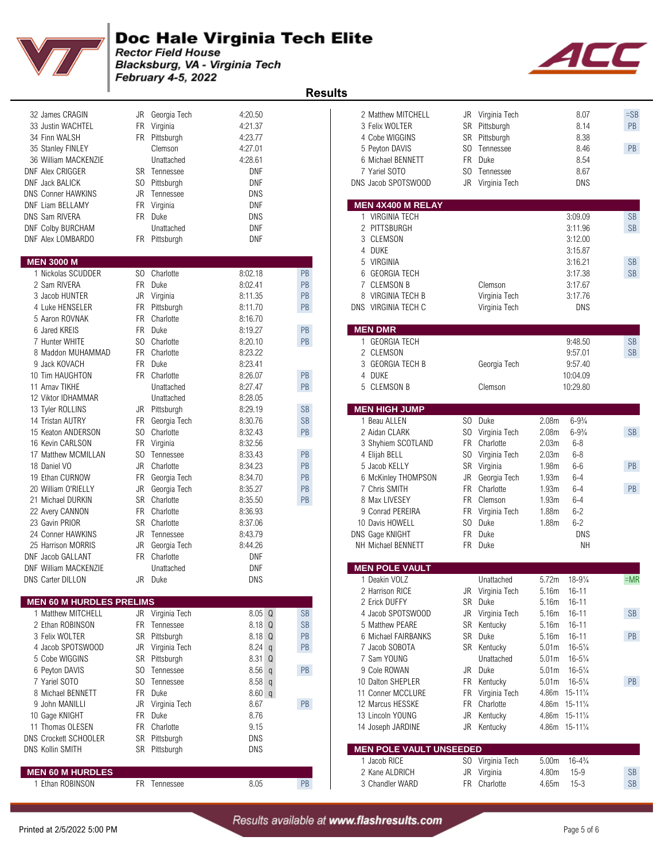

Blacksburg, VA - Virginia Tech February 4-5, 2022

| 32 James CRAGIN<br>33 Justin WACHTEL<br>34 Finn WALSH<br>35 Stanley FINLEY<br>36 William MACKENZIE | FR               | JR Georgia Tech<br>Virginia<br>FR Pittsburgh<br>Clemson<br>Unattached | 4:20.50<br>4:21.37<br>4:23.77<br>4:27.01<br>4:28.61 |           | 2 Matthew MITCHELL<br>3 Felix WOLTER<br>4 Cobe WIGGINS<br>5 Peyton DAVIS<br>6 Michael BENNETT |     | JR Virginia Tech<br>SR Pittsburgh<br>SR Pittsburgh<br>SO Tennessee<br>FR Duke |                   | 8.07<br>8.14<br>8.38<br>8.46<br>8.54 | $=$ SI<br>PB<br>PB     |
|----------------------------------------------------------------------------------------------------|------------------|-----------------------------------------------------------------------|-----------------------------------------------------|-----------|-----------------------------------------------------------------------------------------------|-----|-------------------------------------------------------------------------------|-------------------|--------------------------------------|------------------------|
| <b>DNF Alex CRIGGER</b><br><b>DNF Jack BALICK</b><br><b>DNS Conner HAWKINS</b>                     | SO.<br>JR        | <b>SR</b> Tennessee<br>Pittsburgh<br>Tennessee                        | <b>DNF</b><br><b>DNF</b><br>DNS                     |           | 7 Yariel SOTO<br>DNS Jacob SPOTSWOOD                                                          |     | SO Tennessee<br>JR Virginia Tech                                              |                   | 8.67<br>DNS                          |                        |
| DNF Liam BELLAMY<br>DNS Sam RIVERA<br><b>DNF Colby BURCHAM</b><br>DNF Alex LOMBARDO                | FR               | Virginia<br>FR Duke<br>Unattached<br>FR Pittsburgh                    | DNF<br><b>DNS</b><br><b>DNF</b><br><b>DNF</b>       |           | <b>MEN 4X400 M RELAY</b><br>1 VIRGINIA TECH<br>2 PITTSBURGH<br>3 CLEMSON                      |     |                                                                               |                   | 3:09.09<br>3:11.96<br>3:12.00        | <b>SB</b><br><b>SB</b> |
| <b>MEN 3000 M</b>                                                                                  |                  |                                                                       |                                                     |           | 4 DUKE<br>VIRGINIA<br>5                                                                       |     |                                                                               |                   | 3:15.87<br>3:16.21                   | <b>SB</b>              |
| 1 Nickolas SCUDDER                                                                                 |                  | SO Charlotte                                                          | 8:02.18                                             | PB        | 6<br><b>GEORGIA TECH</b>                                                                      |     |                                                                               |                   | 3:17.38                              | <b>SB</b>              |
| 2 Sam RIVERA                                                                                       |                  | FR Duke                                                               | 8:02.41                                             | PB        | <b>CLEMSON B</b><br>7                                                                         |     | Clemson                                                                       |                   | 3:17.67                              |                        |
| 3 Jacob HUNTER                                                                                     |                  | JR Virginia                                                           | 8:11.35                                             | PB        | VIRGINIA TECH B<br>8                                                                          |     | Virginia Tech                                                                 |                   | 3:17.76                              |                        |
| 4 Luke HENSELER                                                                                    | FR               | Pittsburgh                                                            | 8:11.70                                             | PB        | DNS VIRGINIA TECH C                                                                           |     | Virginia Tech                                                                 |                   | <b>DNS</b>                           |                        |
| 5 Aaron ROVNAK                                                                                     | <b>FR</b>        | Charlotte                                                             | 8:16.70                                             |           |                                                                                               |     |                                                                               |                   |                                      |                        |
| 6 Jared KREIS                                                                                      | FR               | Duke                                                                  | 8:19.27                                             | PB        | <b>MEN DMR</b>                                                                                |     |                                                                               |                   |                                      |                        |
| 7 Hunter WHITE                                                                                     | SO.              | Charlotte                                                             | 8:20.10                                             | PB        | 1 GEORGIA TECH                                                                                |     |                                                                               |                   | 9:48.50                              | <b>SB</b>              |
| 8 Maddon MUHAMMAD<br>9 Jack KOVACH                                                                 | FR.<br><b>FR</b> | Charlotte<br>Duke                                                     | 8:23.22<br>8:23.41                                  |           | 2 CLEMSON<br><b>GEORGIA TECH B</b><br>3                                                       |     | Georgia Tech                                                                  |                   | 9:57.01<br>9:57.40                   | <b>SB</b>              |
| 10 Tim HAUGHTON                                                                                    |                  | FR Charlotte                                                          | 8:26.07                                             | PB        | 4 DUKE                                                                                        |     |                                                                               |                   | 10:04.09                             |                        |
| 11 Arnav TIKHE                                                                                     |                  | Unattached                                                            | 8:27.47                                             | PB        | 5 CLEMSON B                                                                                   |     | Clemson                                                                       |                   | 10:29.80                             |                        |
| 12 Viktor IDHAMMAR                                                                                 |                  | Unattached                                                            | 8:28.05                                             |           |                                                                                               |     |                                                                               |                   |                                      |                        |
| 13 Tyler ROLLINS                                                                                   |                  | JR Pittsburgh                                                         | 8:29.19                                             | <b>SB</b> | <b>MEN HIGH JUMP</b>                                                                          |     |                                                                               |                   |                                      |                        |
| 14 Tristan AUTRY                                                                                   | FR               | Georgia Tech                                                          | 8:30.76                                             | <b>SB</b> | 1 Beau ALLEN                                                                                  |     | SO Duke                                                                       | 2.08m             | $6 - 9\frac{3}{4}$                   |                        |
| 15 Keaton ANDERSON                                                                                 | SO.              | Charlotte                                                             | 8:32.43                                             | PB        | 2 Aidan CLARK                                                                                 |     | SO Virginia Tech                                                              | 2.08m             | $6 - 9\frac{3}{4}$                   | <b>SB</b>              |
| 16 Kevin CARLSON                                                                                   | FR               | Virginia                                                              | 8:32.56                                             |           | 3 Shyhiem SCOTLAND                                                                            |     | FR Charlotte                                                                  | 2.03m             | $6 - 8$                              |                        |
| 17 Matthew MCMILLAN                                                                                | SO.              | Tennessee                                                             | 8:33.43                                             | PB        | 4 Elijah BELL                                                                                 | SO. | Virginia Tech                                                                 | 2.03m             | $6 - 8$                              |                        |
| 18 Daniel VO                                                                                       | JR               | Charlotte                                                             | 8:34.23                                             | PB        | 5 Jacob KELLY                                                                                 |     | SR Virginia                                                                   | 1.98m             | $6-6$                                | PB                     |
| 19 Ethan CURNOW                                                                                    | FR               | Georgia Tech                                                          | 8:34.70                                             | PB        | 6 McKinley THOMPSON                                                                           | JR  | Georgia Tech                                                                  | 1.93m             | $6 - 4$                              |                        |
| 20 William O'RIELLY                                                                                | JR               | Georgia Tech                                                          | 8:35.27                                             | PB        | 7 Chris SMITH                                                                                 | FR. | Charlotte                                                                     | 1.93m             | $6 - 4$                              | PB                     |
| 21 Michael DURKIN                                                                                  |                  | SR Charlotte                                                          | 8:35.50                                             | PB        | 8 Max LIVESEY                                                                                 |     | FR Clemson                                                                    | 1.93m             | $6 - 4$                              |                        |
| 22 Avery CANNON                                                                                    |                  | FR Charlotte                                                          | 8:36.93                                             |           | 9 Conrad PEREIRA                                                                              |     | FR Virginia Tech                                                              | 1.88m             | $6 - 2$                              |                        |
| 23 Gavin PRIOR                                                                                     | <b>SR</b>        | Charlotte                                                             | 8:37.06                                             |           | 10 Davis HOWELL                                                                               |     | SO Duke                                                                       | 1.88m             | $6 - 2$                              |                        |
| 24 Conner HAWKINS                                                                                  | <b>JR</b>        | Tennessee                                                             | 8:43.79                                             |           | DNS Gage KNIGHT                                                                               |     | FR Duke                                                                       |                   | <b>DNS</b>                           |                        |
| 25 Harrison MORRIS                                                                                 | JR               | Georgia Tech                                                          | 8:44.26                                             |           | NH Michael BENNETT                                                                            |     | FR Duke                                                                       |                   | <b>NH</b>                            |                        |
| DNF Jacob GALLANT<br><b>DNF William MACKENZIE</b>                                                  |                  | FR Charlotte                                                          | DNF<br><b>DNF</b>                                   |           | <b>MEN POLE VAULT</b>                                                                         |     |                                                                               |                   |                                      |                        |
| <b>DNS Carter DILLON</b>                                                                           |                  | Unattached<br>JR Duke                                                 | <b>DNS</b>                                          |           | 1 Deakin VOLZ                                                                                 |     | Unattached                                                                    | 5.72m             | $18 - 9\frac{1}{4}$                  | $=$ M                  |
|                                                                                                    |                  |                                                                       |                                                     |           | 2 Harrison RICE                                                                               |     | JR Virginia Tech                                                              | 5.16m 16-11       |                                      |                        |
| <b>MEN 60 M HURDLES PRELIMS</b>                                                                    |                  |                                                                       |                                                     |           | 2 Erick DUFFY                                                                                 |     | SR Duke                                                                       | 5.16m 16-11       |                                      |                        |
| 1 Matthew MITCHELL                                                                                 |                  | JR Virginia Tech                                                      | 8.05 <sub>Q</sub>                                   | <b>SB</b> | 4 Jacob SPOTSWOOD                                                                             |     | JR Virginia Tech                                                              | 5.16m             | $16 - 11$                            | <b>SB</b>              |
| 2 Ethan ROBINSON                                                                                   |                  | FR Tennessee                                                          | 8.18 Q                                              | <b>SB</b> | 5 Matthew PEARE                                                                               |     | SR Kentucky                                                                   | 5.16m             | $16 - 11$                            |                        |
| 3 Felix WOLTER                                                                                     |                  | SR Pittsburgh                                                         | 8.18 Q                                              | PB        | 6 Michael FAIRBANKS                                                                           |     | SR Duke                                                                       | 5.16m 16-11       |                                      | PB                     |
| 4 Jacob SPOTSWOOD                                                                                  |                  | JR Virginia Tech                                                      | $8.24$ q                                            | PB        | 7 Jacob SOBOTA                                                                                |     | SR Kentucky                                                                   |                   | 5.01m 16-51/4                        |                        |
| 5 Cobe WIGGINS                                                                                     |                  | SR Pittsburgh                                                         | 8.31 Q                                              |           | 7 Sam YOUNG                                                                                   |     | Unattached                                                                    | 5.01 <sub>m</sub> | $16 - 5\frac{1}{4}$                  |                        |
| 6 Peyton DAVIS                                                                                     |                  | SO Tennessee                                                          | 8.56q                                               | PB        | 9 Cole ROWAN                                                                                  |     | JR Duke                                                                       |                   | 5.01m 16-51/4                        |                        |
| 7 Yariel SOTO                                                                                      |                  | SO Tennessee                                                          | $8.58$ q                                            |           | 10 Dalton SHEPLER                                                                             |     | FR Kentucky                                                                   |                   | 5.01m 16-51/4                        | PB                     |
| 8 Michael BENNETT                                                                                  |                  | FR Duke                                                               | 8.60 q                                              |           | 11 Conner MCCLURE                                                                             |     | FR Virginia Tech                                                              |                   | 4.86m 15-111/4                       |                        |
| 9 John MANILLI                                                                                     |                  | JR Virginia Tech                                                      | 8.67                                                | PB        | 12 Marcus HESSKE                                                                              |     | FR Charlotte                                                                  |                   | 4.86m 15-111/4                       |                        |
| 10 Gage KNIGHT                                                                                     |                  | FR Duke                                                               | 8.76                                                |           | 13 Lincoln YOUNG                                                                              |     | JR Kentucky                                                                   |                   | 4.86m 15-111/4                       |                        |
| 11 Thomas OLESEN                                                                                   |                  | FR Charlotte                                                          | 9.15                                                |           | 14 Joseph JARDINE                                                                             |     | JR Kentucky                                                                   |                   | 4.86m 15-111/4                       |                        |
| <b>DNS Crockett SCHOOLER</b>                                                                       |                  | SR Pittsburgh                                                         | <b>DNS</b>                                          |           |                                                                                               |     |                                                                               |                   |                                      |                        |
| <b>DNS Kollin SMITH</b>                                                                            |                  | SR Pittsburgh                                                         | <b>DNS</b>                                          |           | <b>MEN POLE VAULT UNSEEDED</b>                                                                |     |                                                                               |                   |                                      |                        |
|                                                                                                    |                  |                                                                       |                                                     |           | 1 Jacob RICE                                                                                  |     | SO Virginia Tech                                                              | 5.00 <sub>m</sub> | $16 - 4\frac{3}{4}$                  |                        |
| <b>MEN 60 M HURDLES</b>                                                                            |                  |                                                                       |                                                     |           | 2 Kane ALDRICH                                                                                |     | JR Virginia                                                                   | 4.80m             | $15 - 9$                             | <b>SB</b>              |
| 1 Ethan ROBINSON                                                                                   |                  | FR Tennessee                                                          | 8.05                                                | PB        | 3 Chandler WARD                                                                               |     | FR Charlotte                                                                  | 4.65m             | $15 - 3$                             | <b>SB</b>              |



|                                 |           |                  |            | <b>Results</b> |                                |           |                  |                                          |           |
|---------------------------------|-----------|------------------|------------|----------------|--------------------------------|-----------|------------------|------------------------------------------|-----------|
| 32 James CRAGIN                 | JR        | Georgia Tech     | 4:20.50    |                | 2 Matthew MITCHELL             |           | JR Virginia Tech | 8.07                                     | $=$ SB    |
| 33 Justin WACHTEL               | <b>FR</b> | Virginia         | 4:21.37    |                | 3 Felix WOLTER                 | SR        | Pittsburgh       | 8.14                                     | PB        |
| 34 Finn WALSH                   |           | FR Pittsburgh    | 4:23.77    |                | 4 Cobe WIGGINS                 | <b>SR</b> | Pittsburgh       | 8.38                                     |           |
| 35 Stanley FINLEY               |           | Clemson          | 4:27.01    |                | 5 Peyton DAVIS                 |           | SO Tennessee     | 8.46                                     | PB        |
| 36 William MACKENZIE            |           | Unattached       | 4:28.61    |                | 6 Michael BENNETT              | <b>FR</b> | Duke             | 8.54                                     |           |
| <b>DNF Alex CRIGGER</b>         | <b>SR</b> | Tennessee        | <b>DNF</b> |                | 7 Yariel SOTO                  | SO.       | Tennessee        | 8.67                                     |           |
| <b>DNF Jack BALICK</b>          | SO.       | Pittsburgh       | <b>DNF</b> |                | DNS Jacob SPOTSWOOD            |           | JR Virginia Tech | <b>DNS</b>                               |           |
| <b>DNS Conner HAWKINS</b>       | <b>JR</b> | Tennessee        | <b>DNS</b> |                |                                |           |                  |                                          |           |
| <b>DNF Liam BELLAMY</b>         | <b>FR</b> | Virginia         | <b>DNF</b> |                | <b>MEN 4X400 M RELAY</b>       |           |                  |                                          |           |
| DNS Sam RIVERA                  | <b>FR</b> | Duke             | <b>DNS</b> |                | 1 VIRGINIA TECH                |           |                  | 3:09.09                                  | SB        |
| <b>DNF Colby BURCHAM</b>        |           |                  | <b>DNF</b> |                | 2 PITTSBURGH                   |           |                  | 3:11.96                                  |           |
|                                 |           | Unattached       |            |                |                                |           |                  |                                          | <b>SB</b> |
| DNF Alex LOMBARDO               |           | FR Pittsburgh    | <b>DNF</b> |                | 3 CLEMSON<br>4 DUKE            |           |                  | 3:12.00                                  |           |
|                                 |           |                  |            |                |                                |           |                  | 3:15.87                                  |           |
| <b>MEN 3000 M</b>               |           |                  |            |                | 5 VIRGINIA                     |           |                  | 3:16.21                                  | <b>SB</b> |
| 1 Nickolas SCUDDER              | SO.       | Charlotte        | 8:02.18    | PB             | 6 GEORGIA TECH                 |           |                  | 3:17.38                                  | <b>SB</b> |
| 2 Sam RIVERA                    | FR.       | Duke             | 8:02.41    | PB             | 7 CLEMSON B                    |           | Clemson          | 3:17.67                                  |           |
| 3 Jacob HUNTER                  | JR        | Virginia         | 8:11.35    | PB             | 8 VIRGINIA TECH B              |           | Virginia Tech    | 3:17.76                                  |           |
| 4 Luke HENSELER                 | FR        | Pittsburgh       | 8:11.70    | PB             | DNS VIRGINIA TECH C            |           | Virginia Tech    | <b>DNS</b>                               |           |
| 5 Aaron ROVNAK                  | <b>FR</b> | Charlotte        | 8:16.70    |                |                                |           |                  |                                          |           |
| 6 Jared KREIS                   | FR.       | Duke             | 8:19.27    | PB             | <b>MEN DMR</b>                 |           |                  |                                          |           |
| 7 Hunter WHITE                  | SO.       | Charlotte        | 8:20.10    | PB             | 1 GEORGIA TECH                 |           |                  | 9:48.50                                  | SB        |
| 8 Maddon MUHAMMAD               | FR.       | Charlotte        | 8:23.22    |                | 2 CLEMSON                      |           |                  | 9:57.01                                  | <b>SB</b> |
| 9 Jack KOVACH                   | <b>FR</b> | Duke             | 8:23.41    |                | 3 GEORGIA TECH B               |           | Georgia Tech     | 9:57.40                                  |           |
| 10 Tim HAUGHTON                 |           | FR Charlotte     | 8:26.07    | PB             | 4 DUKE                         |           |                  | 10:04.09                                 |           |
| 11 Arnav TIKHE                  |           | Unattached       | 8:27.47    | PB             | 5 CLEMSON B                    |           | Clemson          | 10:29.80                                 |           |
| 12 Viktor IDHAMMAR              |           | Unattached       | 8:28.05    |                |                                |           |                  |                                          |           |
| 13 Tyler ROLLINS                |           | JR Pittsburgh    | 8:29.19    | <b>SB</b>      | <b>MEN HIGH JUMP</b>           |           |                  |                                          |           |
| 14 Tristan AUTRY                | FR        | Georgia Tech     | 8:30.76    | <b>SB</b>      | 1 Beau ALLEN                   |           | SO Duke          | 2.08 <sub>m</sub><br>$6 - 9\frac{3}{4}$  |           |
| 15 Keaton ANDERSON              | SO.       | Charlotte        | 8:32.43    | PB             | 2 Aidan CLARK                  |           | SO Virginia Tech | 2.08m<br>$6 - 9\frac{3}{4}$              | <b>SB</b> |
| 16 Kevin CARLSON                | <b>FR</b> | Virginia         | 8:32.56    |                | 3 Shyhiem SCOTLAND             | <b>FR</b> | Charlotte        | 2.03m<br>$6 - 8$                         |           |
| 17 Matthew MCMILLAN             | SO.       | Tennessee        | 8:33.43    | PB             | 4 Elijah BELL                  | SO.       | Virginia Tech    | 2.03m<br>$6 - 8$                         |           |
| 18 Daniel VO                    | <b>JR</b> | Charlotte        | 8:34.23    | PB             | 5 Jacob KELLY                  |           | SR Virginia      | $6-6$<br>1.98m                           | PB        |
| 19 Ethan CURNOW                 | FR        | Georgia Tech     | 8:34.70    | PB             | 6 McKinley THOMPSON            | JR        | Georgia Tech     | 1.93m<br>$6 - 4$                         |           |
| 20 William O'RIELLY             | JR        | Georgia Tech     | 8:35.27    | PB             | 7 Chris SMITH                  | <b>FR</b> | Charlotte        | 1.93m<br>$6 - 4$                         | PB        |
| 21 Michael DURKIN               | <b>SR</b> | Charlotte        | 8:35.50    | $\mathsf{PB}$  | 8 Max LIVESEY                  | FR.       | Clemson          | 1.93m<br>$6 - 4$                         |           |
| 22 Avery CANNON                 | <b>FR</b> | Charlotte        | 8:36.93    |                | 9 Conrad PEREIRA               | FR        | Virginia Tech    | 1.88m<br>$6 - 2$                         |           |
| 23 Gavin PRIOR                  | <b>SR</b> | Charlotte        | 8:37.06    |                | 10 Davis HOWELL                | SO        | Duke             | $6 - 2$<br>1.88m                         |           |
| 24 Conner HAWKINS               | JR        | Tennessee        | 8:43.79    |                | DNS Gage KNIGHT                | <b>FR</b> | Duke             | <b>DNS</b>                               |           |
| 25 Harrison MORRIS              | JR        |                  | 8:44.26    |                | NH Michael BENNETT             |           | FR Duke          | NΗ                                       |           |
|                                 |           | Georgia Tech     | <b>DNF</b> |                |                                |           |                  |                                          |           |
| DNF Jacob GALLANT               | FR.       | Charlotte        |            |                |                                |           |                  |                                          |           |
| <b>DNF William MACKENZIE</b>    |           | Unattached       | <b>DNF</b> |                | <b>MEN POLE VAULT</b>          |           |                  |                                          |           |
| DNS Carter DILLON               |           | JR Duke          | <b>DNS</b> |                | 1 Deakin VOLZ                  |           | Unattached       | 5.72m<br>$18 - 9\frac{1}{4}$             | $=MR$     |
|                                 |           |                  |            |                | 2 Harrison RICE                |           | JR Virginia Tech | 5.16m<br>$16 - 11$                       |           |
| <b>MEN 60 M HURDLES PRELIMS</b> |           |                  |            |                | 2 Erick DUFFY                  |           | SR Duke          | $16 - 11$<br>5.16m                       |           |
| 1 Matthew MITCHELL              |           | JR Virginia Tech | $8.05$ Q   | <b>SB</b>      | 4 Jacob SPOTSWOOD              |           | JR Virginia Tech | $16 - 11$<br>5.16m                       | <b>SB</b> |
| 2 Ethan ROBINSON                | FR        | Tennessee        | 8.18 Q     | <b>SB</b>      | 5 Matthew PEARE                | SR        | Kentucky         | 5.16m<br>$16 - 11$                       |           |
| 3 Felix WOLTER                  |           | SR Pittsburgh    | 8.18 Q     | PB             | 6 Michael FAIRBANKS            | SR        | Duke             | 5.16m<br>$16 - 11$                       | PB        |
| 4 Jacob SPOTSWOOD               | JR        | Virginia Tech    | 8.24<br>q  | PB             | 7 Jacob SOBOTA                 |           | SR Kentucky      | 5.01 <sub>m</sub><br>$16 - 5\frac{1}{4}$ |           |
| 5 Cobe WIGGINS                  | SR        | Pittsburgh       | 8.31 Q     |                | 7 Sam YOUNG                    |           | Unattached       | $16 - 5\frac{1}{4}$<br>5.01 <sub>m</sub> |           |
| 6 Peyton DAVIS                  | SO.       | Tennessee        | $8.56$ q   | PB             | 9 Cole ROWAN                   |           | JR Duke          | $16 - 5\frac{1}{4}$<br>5.01 <sub>m</sub> |           |
| 7 Yariel SOTO                   | SO.       | Tennessee        | 8.58 q     |                | 10 Dalton SHEPLER              |           | FR Kentucky      | 5.01 <sub>m</sub><br>$16 - 5\frac{1}{4}$ | PB        |
| 8 Michael BENNETT               | FR        | Duke             | 8.60 q     |                | 11 Conner MCCLURE              | FR        | Virginia Tech    | 4.86m 15-111/4                           |           |
| 9 John MANILLI                  | JR        | Virginia Tech    | 8.67       | PB             | 12 Marcus HESSKE               | FR        | Charlotte        | 4.86m 15-111/4                           |           |
| 10 Gage KNIGHT                  | FR        | Duke             | 8.76       |                | 13 Lincoln YOUNG               |           | JR Kentucky      | 4.86m 15-111/4                           |           |
| 11 Thomas OLESEN                | FR        | Charlotte        | 9.15       |                | 14 Joseph JARDINE              |           | JR Kentucky      | 4.86m 15-111/4                           |           |
| DNS Crockett SCHOOLER           | SR        | Pittsburgh       | <b>DNS</b> |                |                                |           |                  |                                          |           |
| DNS Kollin SMITH                |           | SR Pittsburgh    | DNS        |                | <b>MEN POLE VAULT UNSEEDED</b> |           |                  |                                          |           |
|                                 |           |                  |            |                | 1 Jacob RICE                   |           | SO Virginia Tech | $16 - 4\frac{3}{4}$<br>5.00 <sub>m</sub> |           |
| <b>MEN 60 M HURDLES</b>         |           |                  |            |                | 2 Kane ALDRICH                 |           | JR Virginia      | 4.80m 15-9                               | <b>SB</b> |